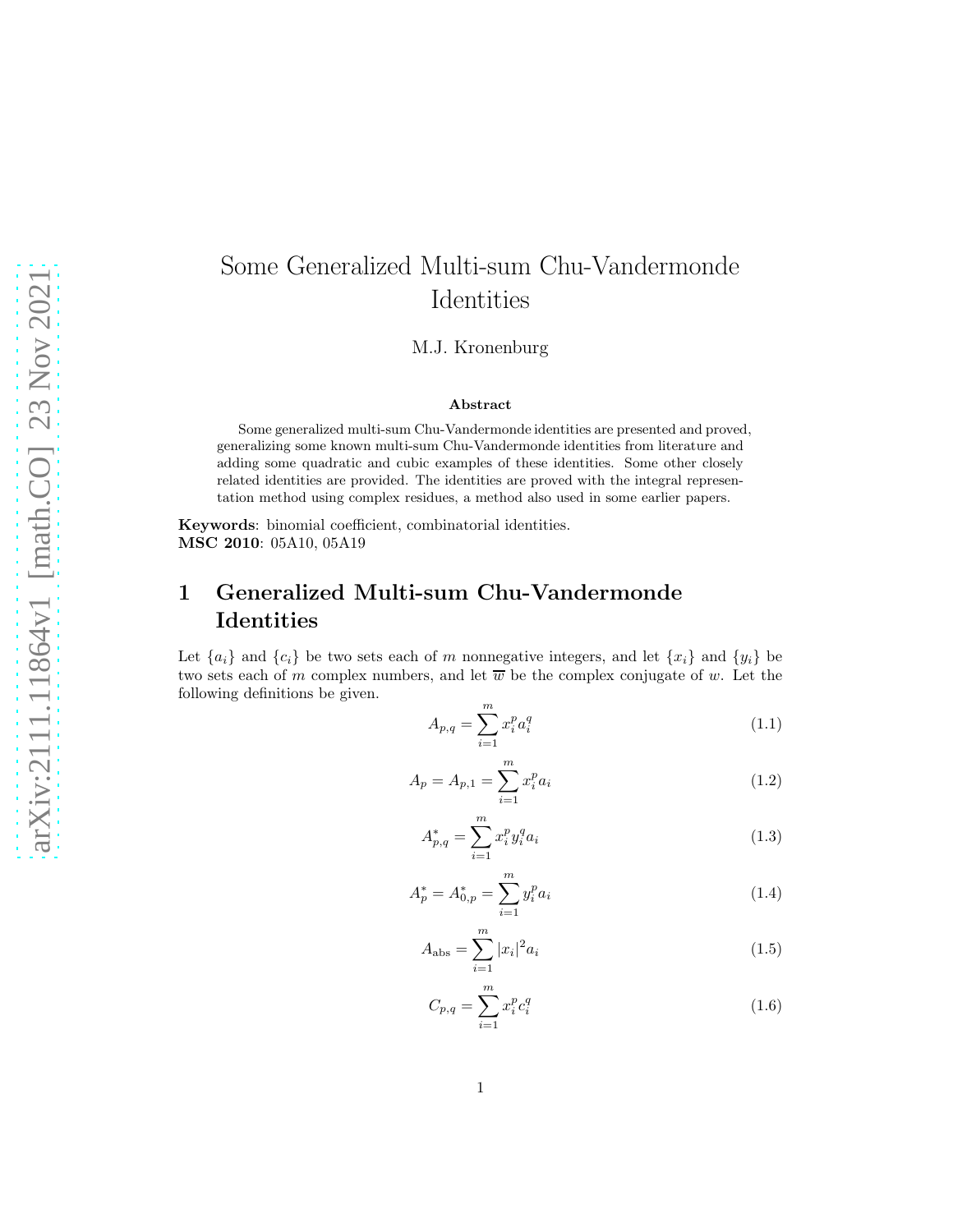# Some Generalized Multi-sum Chu-Vandermonde Identities

M.J. Kronenburg

#### Abstract

Some generalized multi-sum Chu-Vandermonde identities are presented and proved, generalizing some known multi-sum Chu-Vandermonde identities from literature and adding some quadratic and cubic examples of these identities. Some other closely related identities are provided. The identities are proved with the integral representation method using complex residues, a method also used in some earlier papers.

Keywords: binomial coefficient, combinatorial identities. MSC 2010: 05A10, 05A19

## 1 Generalized Multi-sum Chu-Vandermonde Identities

Let  ${a_i}$  and  ${c_i}$  be two sets each of m nonnegative integers, and let  ${x_i}$  and  ${y_i}$  be two sets each of m complex numbers, and let  $\overline{w}$  be the complex conjugate of w. Let the following definitions be given.

$$
A_{p,q} = \sum_{i=1}^{m} x_i^p a_i^q
$$
 (1.1)

$$
A_p = A_{p,1} = \sum_{i=1}^{m} x_i^p a_i
$$
\n(1.2)

$$
A_{p,q}^* = \sum_{i=1}^m x_i^p y_i^q a_i \tag{1.3}
$$

$$
A_p^* = A_{0,p}^* = \sum_{i=1}^m y_i^p a_i \tag{1.4}
$$

$$
A_{\rm abs} = \sum_{i=1}^{m} |x_i|^2 a_i
$$
 (1.5)

$$
C_{p,q} = \sum_{i=1}^{m} x_i^p c_i^q
$$
 (1.6)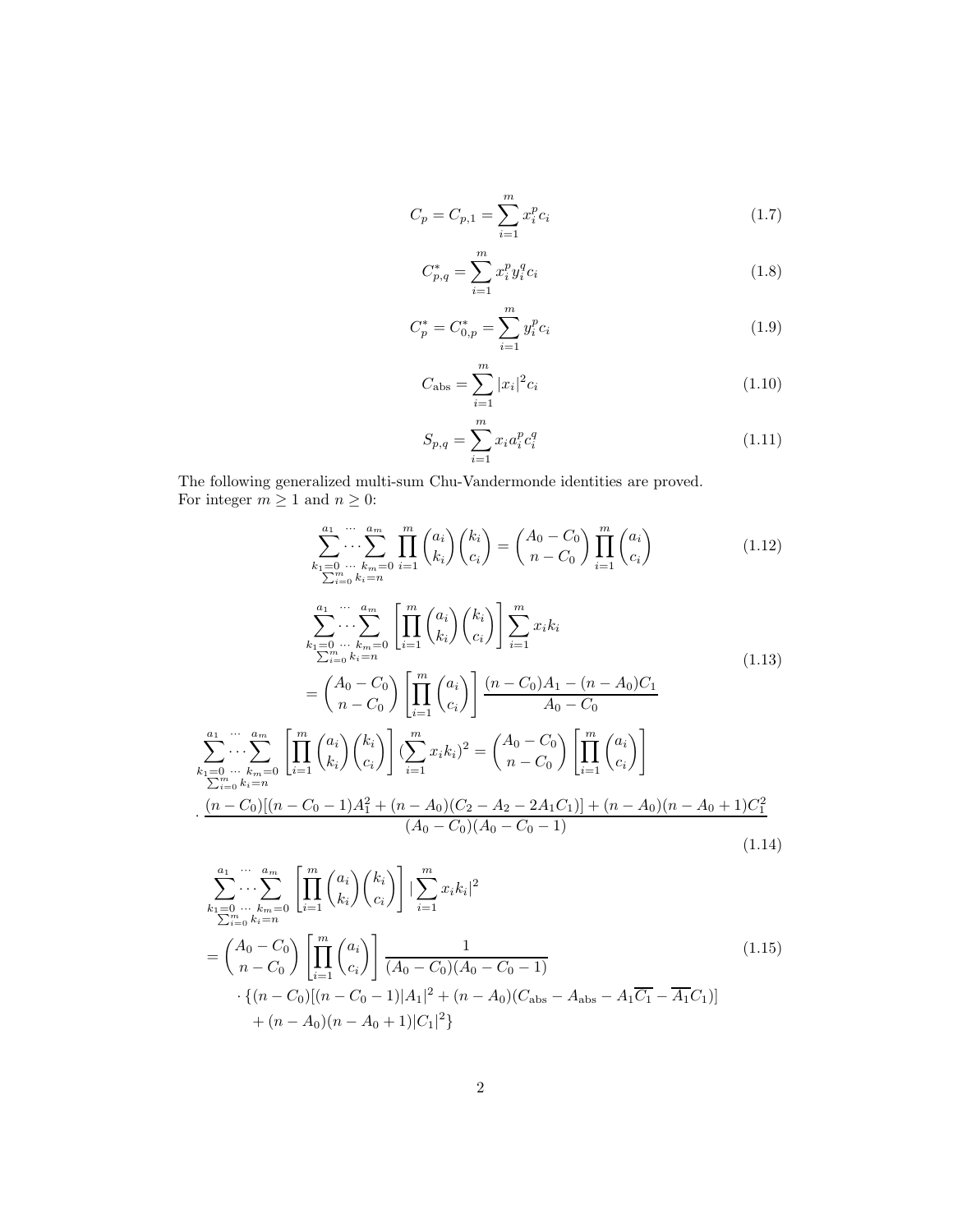$$
C_p = C_{p,1} = \sum_{i=1}^{m} x_i^p c_i
$$
\n(1.7)

$$
C_{p,q}^* = \sum_{i=1}^m x_i^p y_i^q c_i
$$
\n(1.8)

$$
C_p^* = C_{0,p}^* = \sum_{i=1}^m y_i^p c_i
$$
\n(1.9)

$$
C_{\rm abs} = \sum_{i=1}^{m} |x_i|^2 c_i
$$
\n(1.10)

$$
S_{p,q} = \sum_{i=1}^{m} x_i a_i^p c_i^q
$$
 (1.11)

The following generalized multi-sum Chu-Vandermonde identities are proved. For integer  $m \geq 1$  and  $n \geq 0$ :

<span id="page-1-1"></span><span id="page-1-0"></span>
$$
\sum_{k_1=0}^{a_1} \cdots \sum_{k_m=0}^{a_m} \prod_{i=1}^m {a_i \choose k_i} {k_i \choose c_i} = {A_0 - C_0 \choose n - C_0} \prod_{i=1}^m {a_i \choose c_i}
$$
(1.12)  

$$
\sum_{k_1=0}^{a_1} \cdots \sum_{k_m=0}^{a_m} \prod_{i=1}^m {a_i \choose k_i} {k_i \choose c_i} \sum_{i=1}^m x_i k_i
$$
  

$$
\sum_{k_1=0}^{a_1} \cdots \sum_{k_m=0}^{a_m} \prod_{i=1}^m {a_i \choose k_i} {k_i \choose c_i} \sum_{i=1}^m x_i k_i
$$
(1.13)  

$$
= {A_0 - C_0 \choose n - C_0} \prod_{i=1}^m {a_i \choose c_i} \frac{(n - C_0)A_1 - (n - A_0)C_1}{A_0 - C_0}
$$
  

$$
\sum_{k_1=0}^{a_1} \cdots \sum_{k_m=0}^{a_m} \prod_{i=1}^m {a_i \choose k_i} {k_i \choose c_i} {m \choose c_i} \sum_{i=1}^m x_i k_i
$$
  

$$
\sum_{k_1=0}^{m} \cdots \sum_{k_m=0}^{k_m} \prod_{i=1}^m {a_i \choose k_i} {k_i \choose c_i} \left[ \sum_{i=1}^m x_i k_i \right]^2 = {A_0 - C_0 \choose n - C_0} \left[ \prod_{i=1}^m {a_i \choose c_i} \right]
$$
  

$$
\frac{(n - C_0)[(n - C_0 - 1)A_1^2 + (n - A_0)(C_2 - A_2 - 2A_1C_1)] + (n - A_0)(n - A_0 + 1)C_1^2}{(A_0 - C_0)(A_0 - C_0 - 1)}
$$
(1.14)

<span id="page-1-3"></span><span id="page-1-2"></span>
$$
\sum_{\substack{k_1=0 \ \dots \ k_m=0}}^{a_1 \ \dots \ a_m} \left[ \prod_{i=1}^m \binom{a_i}{k_i} \binom{k_i}{c_i} \right] \left| \sum_{i=1}^m x_i k_i \right|^2
$$
\n
$$
= \binom{A_0 - C_0}{n - C_0} \left[ \prod_{i=1}^m \binom{a_i}{c_i} \right] \frac{1}{(A_0 - C_0)(A_0 - C_0 - 1)}
$$
\n
$$
\cdot \left\{ (n - C_0) [(n - C_0 - 1)|A_1|^2 + (n - A_0)(C_{\text{abs}} - A_{\text{abs}} - A_1 \overline{C_1} - \overline{A_1} C_1)] + (n - A_0)(n - A_0 + 1) |C_1|^2 \right\}
$$
\n(1.15)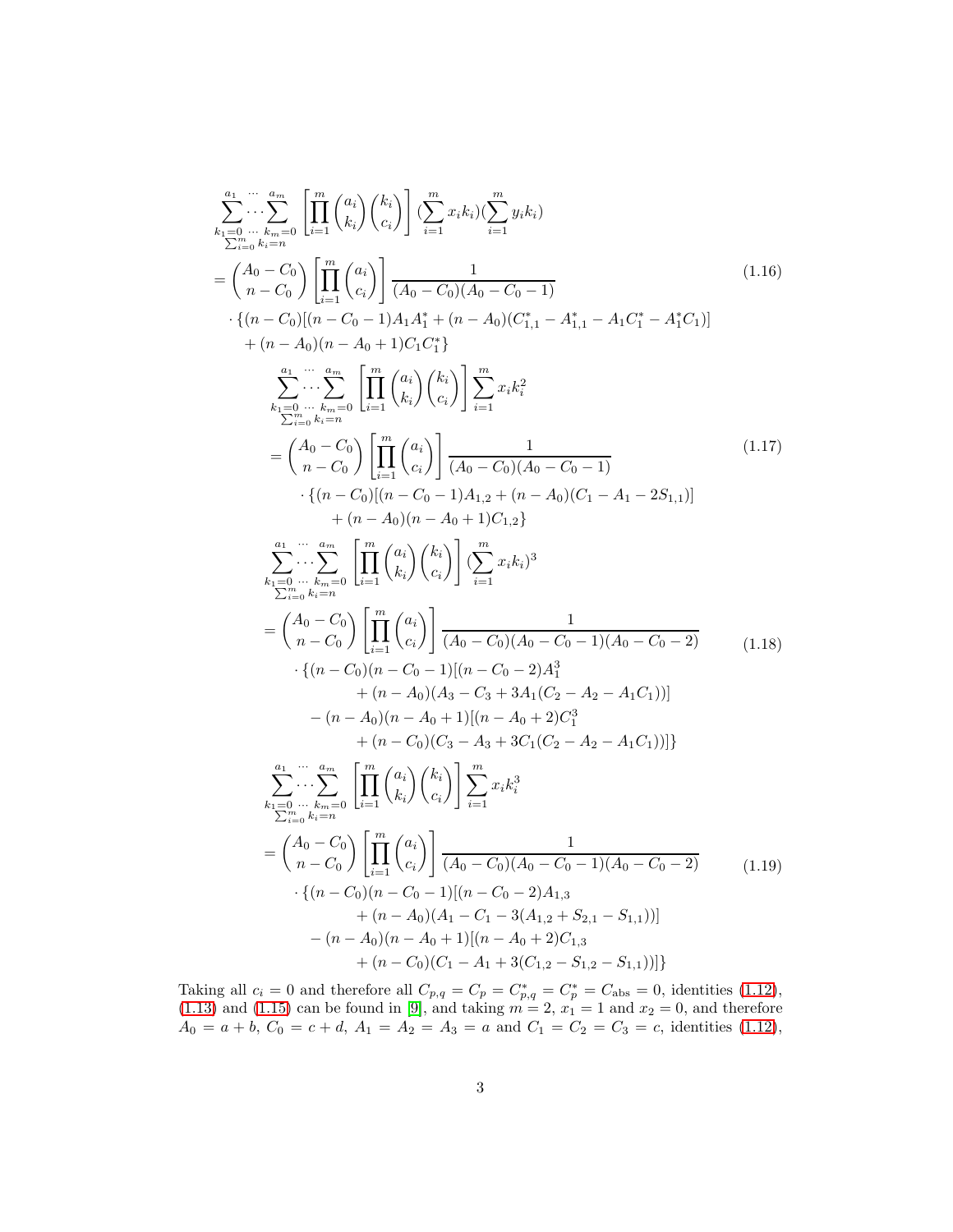$$
\sum_{k_{1}=0}^{2_{1}}... k_{m}=0 \prod_{i=1}^{m} {a_{i} \choose k_{i}} {k_{i} \choose c_{i}} \left[ \sum_{i=1}^{m} x_{i}k_{i} \right] \sum_{i=1}^{m} y_{i}k_{i}
$$
\n
$$
= {A_{0} - C_{0} \choose n - C_{0}} \left[ \prod_{i=1}^{m} {a_{i} \choose c_{i}} \right] \frac{1}{(A_{0} - C_{0})(A_{0} - C_{0} - 1)} \cdot \{ (n - C_{0})[(n - C_{0} - 1)A_{1}A_{1}^{*} + (n - A_{0})(C_{1,1}^{*} - A_{1,1}^{*} - A_{1}C_{1}^{*} - A_{1}^{*}C_{1})] \newline + (n - A_{0})(n - A_{0} + 1)C_{1}C_{1}^{*} \}
$$
\n
$$
= {A_{0} - C_{0} \choose k_{1} = 0} \prod_{i=1}^{m} {a_{i} \choose k_{i}} {k_{i} \choose c_{i}} \right] \sum_{i=1}^{m} x_{i}k_{i}^{2}
$$
\n
$$
= {A_{0} - C_{0} \choose n - C_{0}} \left[ \prod_{i=1}^{m} {a_{i} \choose c_{i}} \right] \frac{1}{(A_{0} - C_{0})(A_{0} - C_{0} - 1)} \cdot \{ (n - C_{0})[(n - C_{0} - 1)A_{1,2} + (n - A_{0})(C_{1} - A_{1} - 2S_{1,1})] \newline + (n - A_{0})(n - A_{0} + 1)C_{1,2} \}
$$
\n
$$
= {A_{1} \choose n - C_{0}} \left[ \prod_{i=1}^{m} {a_{i} \choose k_{i}} {k_{i} \choose c_{i}} \right] \frac{1}{(A_{0} - C_{0})(A_{0} - C_{0} - 1)} \cdot \{ (n - A_{0})(n - A_{0} + 1)C_{1,2} \}
$$
\n
$$
= {A_{0} - C_{0} \choose n - C_{0}} \left[ \prod_{i=1}^{m} {a_{i} \choose k_{i}} {k_{i} \choose c_{i}} \right] \frac{1}{(A_{0} - C_{0})(A_{0} - C_{0} - 1)(A
$$

<span id="page-2-0"></span>Taking all  $c_i = 0$  and therefore all  $C_{p,q} = C_p = C_{p,q}^* = C_p^* = C_{\text{abs}} = 0$ , identities [\(1.12\)](#page-1-0),  $(1.13)$  and  $(1.15)$  can be found in [\[9\]](#page-23-0), and taking  $m = 2$ ,  $x_1 = 1$  and  $x_2 = 0$ , and therefore  $A_0 = a + b$ ,  $C_0 = c + d$ ,  $A_1 = A_2 = A_3 = a$  and  $C_1 = C_2 = C_3 = c$ , identities [\(1.12\)](#page-1-0),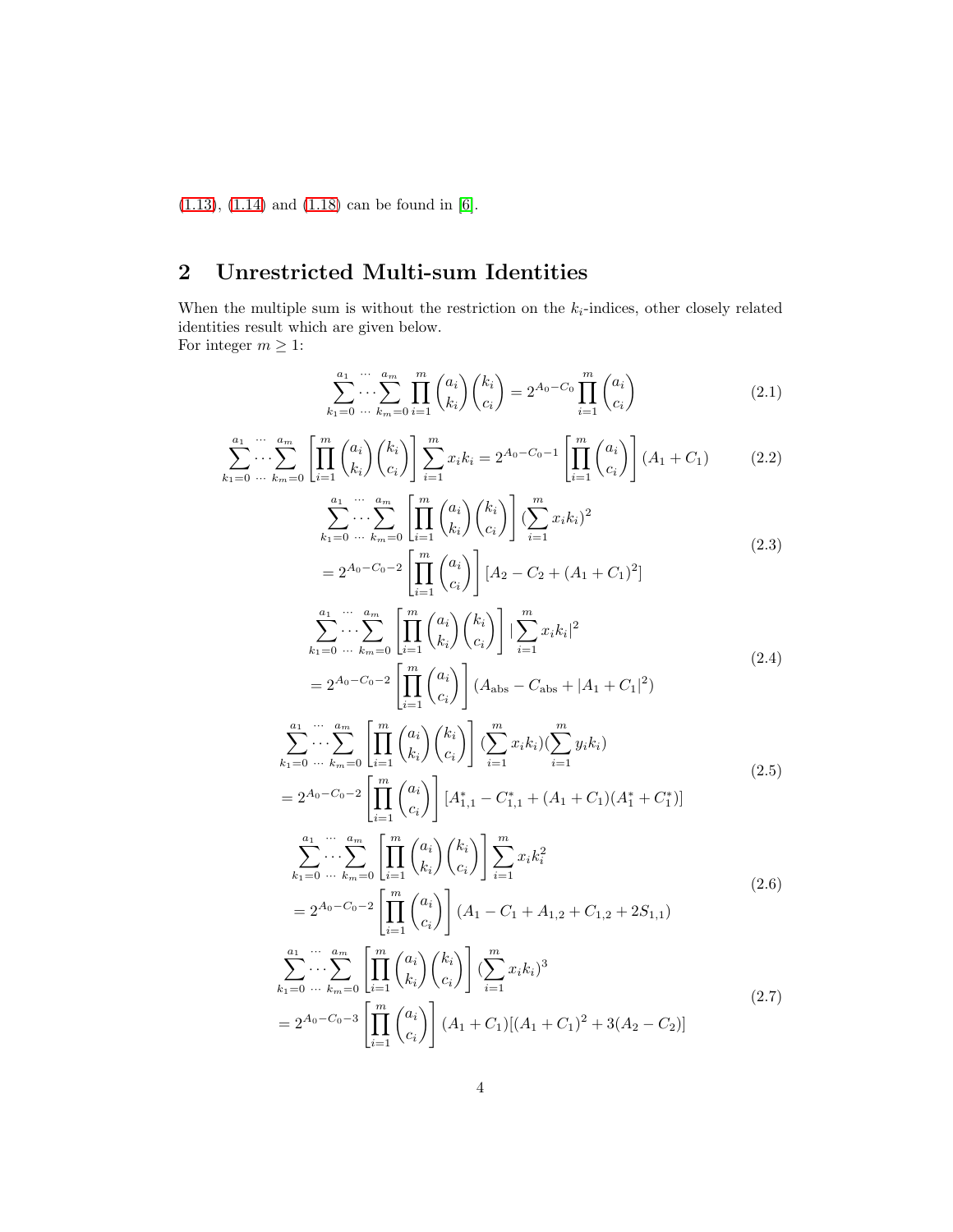[\(1.13\)](#page-1-1), [\(1.14\)](#page-1-3) and [\(1.18\)](#page-2-0) can be found in [\[6\]](#page-23-1).

### 2 Unrestricted Multi-sum Identities

When the multiple sum is without the restriction on the  $k_i$ -indices, other closely related identities result which are given below. For integer  $m \geq 1$ :

$$
\sum_{k_1=0}^{a_1} \cdots \sum_{k_m=0}^{a_m} \prod_{i=1}^m \binom{a_i}{k_i} \binom{k_i}{c_i} = 2^{A_0 - C_0} \prod_{i=1}^m \binom{a_i}{c_i} \tag{2.1}
$$

$$
\sum_{k_1=0}^{a_1} \cdots \sum_{k_m=0}^{a_m} \left[ \prod_{i=1}^m \binom{a_i}{k_i} \binom{k_i}{c_i} \right] \sum_{i=1}^m x_i k_i = 2^{A_0 - C_0 - 1} \left[ \prod_{i=1}^m \binom{a_i}{c_i} \right] (A_1 + C_1) \tag{2.2}
$$

$$
\sum_{k_1=0}^{a_1} \cdots \sum_{k_m=0}^{a_m} \left[ \prod_{i=1}^m \binom{a_i}{k_i} \binom{k_i}{c_i} \right] \left( \sum_{i=1}^m x_i k_i \right)^2
$$
\n
$$
= 2^{A_0 - C_0 - 2} \left[ \prod_{i=1}^m \binom{a_i}{c_i} \right] \left[ A_2 - C_2 + (A_1 + C_1)^2 \right]
$$
\n(2.3)

$$
\sum_{k_1=0}^{a_1} \cdots \sum_{k_m=0}^{a_m} \left[ \prod_{i=1}^m \binom{a_i}{k_i} \binom{k_i}{c_i} \right] \left| \sum_{i=1}^m x_i k_i \right|^2
$$
\n
$$
= 2^{A_0 - C_0 - 2} \left[ \prod_{i=1}^m \binom{a_i}{c_i} \right] (A_{\text{abs}} - C_{\text{abs}} + |A_1 + C_1|^2)
$$
\n(2.4)

$$
\sum_{k_1=0}^{a_1} \cdots \sum_{k_m=0}^{a_m} \left[ \prod_{i=1}^m {a_i \choose k_i} {k_i \choose c_i} \right] \left( \sum_{i=1}^m x_i k_i \right) \left( \sum_{i=1}^m y_i k_i \right)
$$
\n
$$
= 2^{A_0 - C_0 - 2} \left[ \prod_{i=1}^m {a_i \choose c_i} \right] \left[ A_{1,1}^* - C_{1,1}^* + (A_1 + C_1)(A_1^* + C_1^*) \right]
$$
\n
$$
(2.5)
$$

$$
\sum_{k_1=0}^{a_1} \cdots \sum_{k_m=0}^{a_m} \left[ \prod_{i=1}^m \binom{a_i}{k_i} \binom{k_i}{c_i} \right] \sum_{i=1}^m x_i k_i^2
$$
\n
$$
= 2^{A_0 - C_0 - 2} \left[ \prod_{i=1}^m \binom{a_i}{c_i} \right] (A_1 - C_1 + A_{1,2} + C_{1,2} + 2S_{1,1})
$$
\n(2.6)

$$
\sum_{i=1}^{a_1} \cdots \sum_{k_n=0}^{a_m} \left[ \prod_{i=1}^m {a_i \choose k_i} {k_i \choose c_i} \right] \left( \sum_{i=1}^m x_i k_i \right)^3
$$
\n
$$
= 2^{A_0 - C_0 - 3} \left[ \prod_{i=1}^m {a_i \choose c_i} \right] (A_1 + C_1) [(A_1 + C_1)^2 + 3(A_2 - C_2)]
$$
\n(2.7)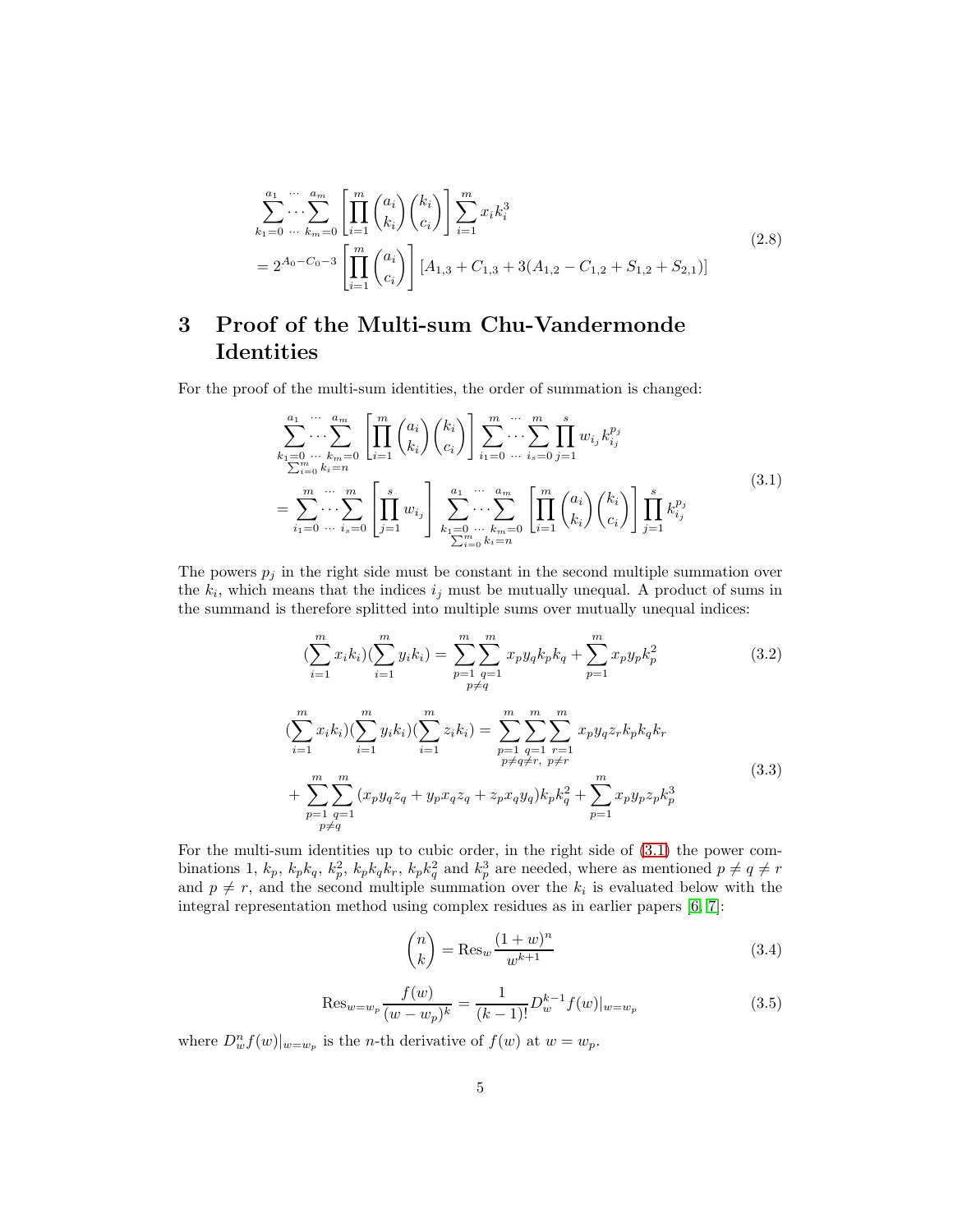$$
\sum_{k_1=0}^{a_1} \cdots \sum_{k_m=0}^{a_m} \left[ \prod_{i=1}^m \binom{a_i}{k_i} \binom{k_i}{c_i} \right] \sum_{i=1}^m x_i k_i^3
$$
\n
$$
= 2^{A_0 - C_0 - 3} \left[ \prod_{i=1}^m \binom{a_i}{c_i} \right] [A_{1,3} + C_{1,3} + 3(A_{1,2} - C_{1,2} + S_{1,2} + S_{2,1})]
$$
\n(2.8)

### 3 Proof of the Multi-sum Chu-Vandermonde Identities

<span id="page-4-0"></span>For the proof of the multi-sum identities, the order of summation is changed:

$$
\sum_{\substack{k_1=0 \ \dots \ k_m=0}}^{a_1 \ \dots \ a_m} \left[ \prod_{i=1}^m \binom{a_i}{k_i} \binom{k_i}{c_i} \right] \sum_{i_1=0 \ \dots \ i_s=0}^m \sum_{j=1}^m w_{i_j} k_{i_j}^{p_j}
$$
\n
$$
= \sum_{i_1=0 \ \dots \ i_s=0}^m \left[ \prod_{j=1}^m w_{i_j} \right] \sum_{k_1=0 \ \dots \ k_m=0}^{a_1 \ \dots \ a_m} \left[ \prod_{i=1}^m \binom{a_i}{k_i} \binom{k_i}{c_i} \right] \prod_{j=1}^s k_{i_j}^{p_j}
$$
\n(3.1)

The powers  $p_j$  in the right side must be constant in the second multiple summation over the  $k_i$ , which means that the indices  $i_j$  must be mutually unequal. A product of sums in the summand is therefore splitted into multiple sums over mutually unequal indices:

$$
\left(\sum_{i=1}^{m} x_{i} k_{i}\right) \left(\sum_{i=1}^{m} y_{i} k_{i}\right) = \sum_{\substack{p=1 \ p \neq q}}^{m} \sum_{\substack{q=1 \ p \neq q}}^{m} x_{p} y_{q} k_{p} k_{q} + \sum_{p=1}^{m} x_{p} y_{p} k_{p}^{2}
$$
\n(3.2)

$$
\begin{split}\n&\left(\sum_{i=1}^{m} x_{i} k_{i}\right) \left(\sum_{i=1}^{m} y_{i} k_{i}\right) \left(\sum_{i=1}^{m} z_{i} k_{i}\right) =\n&\sum_{p=1}^{m} \sum_{\substack{q=1 \ p \neq q \neq r, \ p \neq r}}\n\sum_{p=1}^{m} \sum_{\substack{q=1 \ p \neq r}}\n\sum_{p \neq r}^{m} x_{p} y_{q} z_{r} k_{p} k_{q} k_{r} \\
&\quad + \sum_{\substack{p=1 \ p \neq q}}\n\sum_{\substack{q=1 \ p \neq q}}\n\sum_{\substack{q=1 \ p \neq q}}\n\sum_{p} x_{q} y_{q} k_{p} k_{q}^{2} +\n\sum_{p=1}^{m} x_{p} y_{p} z_{p} k_{p}^{3}\n\end{split}\n\tag{3.3}
$$

<span id="page-4-2"></span>For the multi-sum identities up to cubic order, in the right side of [\(3.1\)](#page-4-0) the power combinations 1,  $k_p$ ,  $k_p k_q$ ,  $k_p^2$ ,  $k_p k_q k_r$ ,  $k_p k_q^2$  and  $k_p^3$  are needed, where as mentioned  $p \neq q \neq r$ and  $p \neq r$ , and the second multiple summation over the  $k_i$  is evaluated below with the integral representation method using complex residues as in earlier papers [\[6,](#page-23-1) [7\]](#page-23-2):

$$
\binom{n}{k} = \text{Res}_w \frac{(1+w)^n}{w^{k+1}} \tag{3.4}
$$

<span id="page-4-1"></span>
$$
\text{Res}_{w=w_p} \frac{f(w)}{(w-w_p)^k} = \frac{1}{(k-1)!} D_w^{k-1} f(w) |_{w=w_p} \tag{3.5}
$$

where  $D_w^n f(w)|_{w=w_p}$  is the *n*-th derivative of  $f(w)$  at  $w=w_p$ .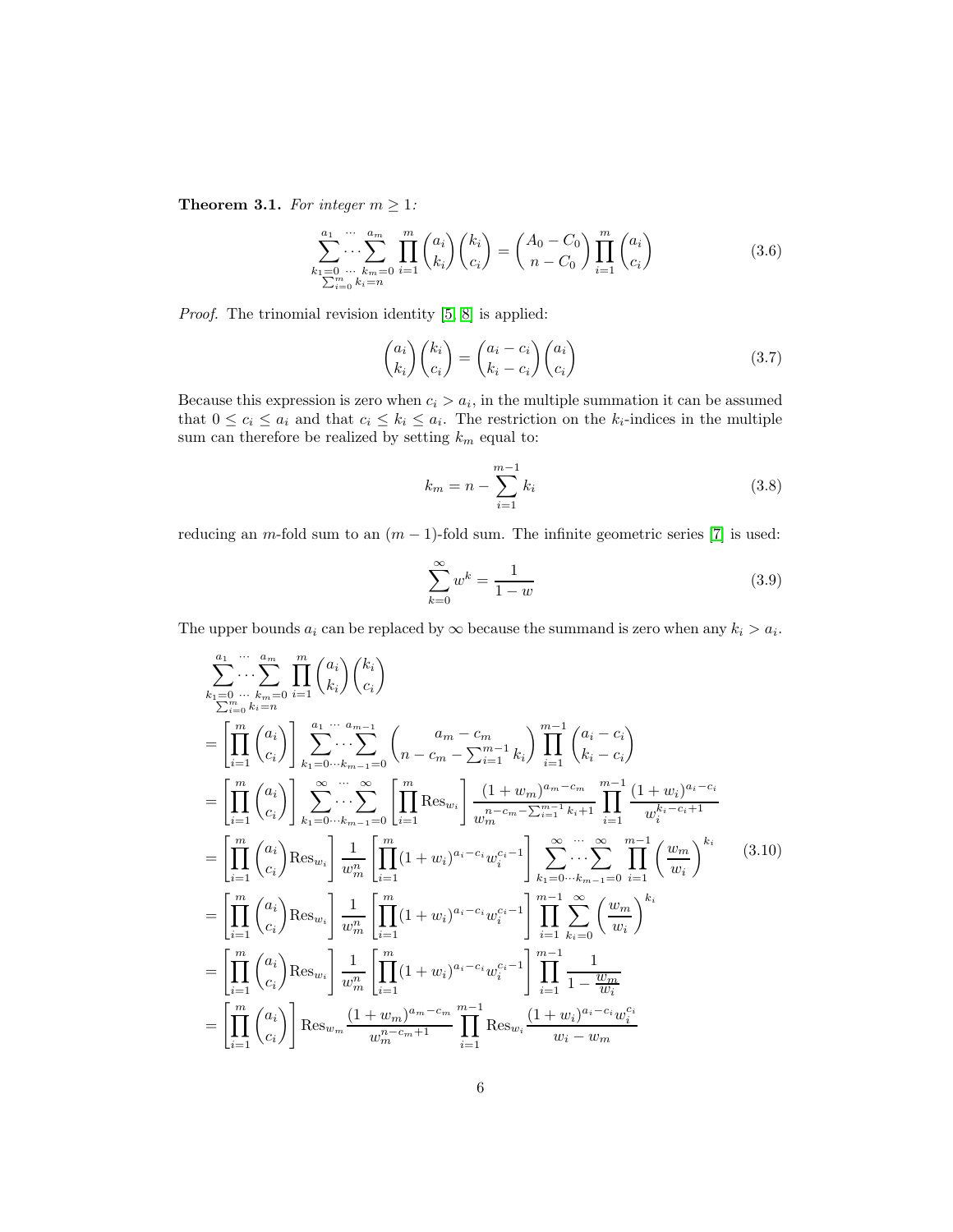<span id="page-5-0"></span>**Theorem 3.1.** *For integer*  $m \geq 1$ *:* 

$$
\sum_{\substack{k_1=0 \ \cdots \ k_m=0}}^{a_1 \ \cdots \ a_m} \prod_{i=1}^{a_m} \binom{a_i}{k_i} \binom{k_i}{c_i} = \binom{A_0 - C_0}{n - C_0} \prod_{i=1}^{m} \binom{a_i}{c_i}
$$
(3.6)

*Proof.* The trinomial revision identity [\[5,](#page-23-3) [8\]](#page-23-4) is applied:

$$
\begin{pmatrix} a_i \\ k_i \end{pmatrix} \begin{pmatrix} k_i \\ c_i \end{pmatrix} = \begin{pmatrix} a_i - c_i \\ k_i - c_i \end{pmatrix} \begin{pmatrix} a_i \\ c_i \end{pmatrix}
$$
\n(3.7)

Because this expression is zero when  $c_i > a_i$ , in the multiple summation it can be assumed that  $0 \leq c_i \leq a_i$  and that  $c_i \leq k_i \leq a_i$ . The restriction on the  $k_i$ -indices in the multiple sum can therefore be realized by setting  $k_m$  equal to:

$$
k_m = n - \sum_{i=1}^{m-1} k_i
$$
\n(3.8)

reducing an m-fold sum to an  $(m - 1)$ -fold sum. The infinite geometric series [\[7\]](#page-23-2) is used:

$$
\sum_{k=0}^{\infty} w^k = \frac{1}{1-w}
$$
\n(3.9)

The upper bounds  $a_i$  can be replaced by  $\infty$  because the summand is zero when any  $k_i > a_i$ .

$$
\sum_{k_1=0}^{a_1} \cdots \sum_{k_m=0}^{a_m} \prod_{i=1}^{m} {a_i \choose k_i} {k_i \choose c_i}
$$
\n
$$
= \left[ \prod_{i=1}^{m} {a_i \choose c_i} \right] \sum_{k_1=0 \cdots k_{m-1}=0}^{a_1 \cdots a_{m-1}} {a_m - c_m - \sum_{i=1}^{m-1} k_i} \prod_{i=1}^{m} {a_i - c_i \choose k_i - c_i}
$$
\n
$$
= \left[ \prod_{i=1}^{m} {a_i \choose c_i} \right] \sum_{k_1=0 \cdots k_{m-1}=0}^{\infty} \prod_{i=1}^{m} \text{Res}_{w_i} \left[ \frac{(1+w_m)^{a_m-c_m}}{w_m^{n-c_m - \sum_{i=1}^{m-1} k_i + 1}} \prod_{i=1}^{m-1} \frac{(1+w_i)^{a_i-c_i}}{w_i^{k_i-c_i+1}} \right]
$$
\n
$$
= \left[ \prod_{i=1}^{m} {a_i \choose c_i} \text{Res}_{w_i} \right] \frac{1}{w_m^2} \left[ \prod_{i=1}^{m} (1+w_i)^{a_i-c_i} w_i^{c_i-1} \right] \sum_{k_1=0 \cdots k_{m-1}=0}^{\infty} \sum_{i=1}^{m} \prod_{i=1}^{m} \left( \frac{w_m}{w_i} \right)^{k_i} \qquad (3.10)
$$
\n
$$
= \left[ \prod_{i=1}^{m} {a_i \choose c_i} \text{Res}_{w_i} \right] \frac{1}{w_m^2} \left[ \prod_{i=1}^{m} (1+w_i)^{a_i-c_i} w_i^{c_i-1} \right] \prod_{i=1}^{m-1} \sum_{k_i=0}^{\infty} \left( \frac{w_m}{w_i} \right)^{k_i}
$$
\n
$$
= \left[ \prod_{i=1}^{m} {a_i \choose c_i} \text{Res}_{w_i} \right] \frac{1}{w_m^2} \left[ \prod_{i=1}^{m} (1+w_i)^{a_i-c_i} w_i^{c_i-1} \right] \prod_{i=1}^{m-1} \frac{1}{1-\frac{w_m}{w_i}}
$$
\n
$$
= \left[ \prod_{i=1}^{m} {a_i \choose c_i} \
$$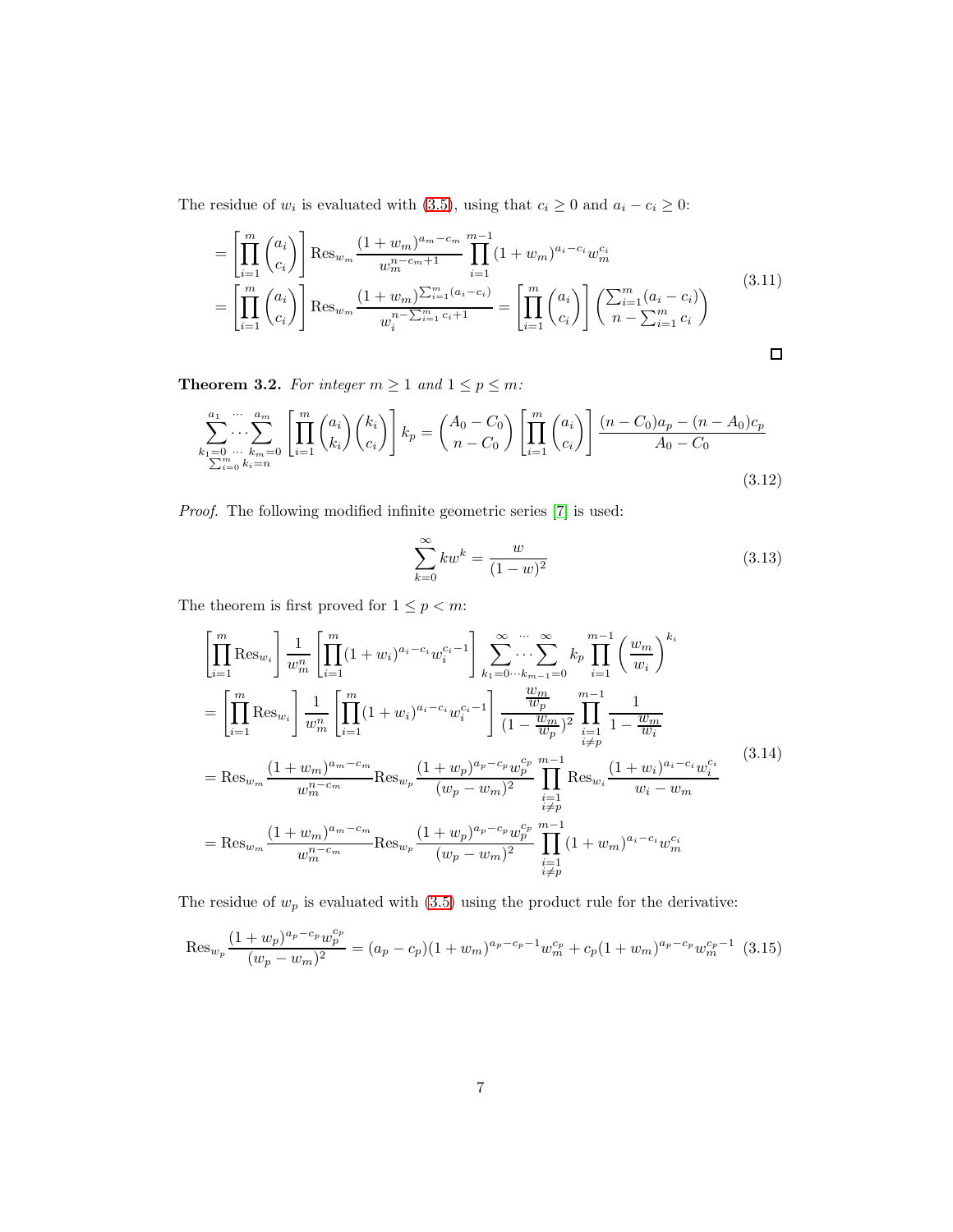The residue of  $w_i$  is evaluated with [\(3.5\)](#page-4-1), using that  $c_i \geq 0$  and  $a_i - c_i \geq 0$ :

$$
= \left[\prod_{i=1}^{m} {a_i \choose c_i}\right] \text{Res}_{w_m} \frac{(1+w_m)^{a_m-c_m}}{w_m^{n-c_m+1}} \prod_{i=1}^{m-1} (1+w_m)^{a_i-c_i} w_m^{c_i}
$$
\n
$$
= \left[\prod_{i=1}^{m} {a_i \choose c_i}\right] \text{Res}_{w_m} \frac{(1+w_m)^{\sum_{i=1}^{m} (a_i - c_i)}}{w_i^{n-\sum_{i=1}^{m} c_i+1}} = \left[\prod_{i=1}^{m} {a_i \choose c_i}\right] \left(\sum_{i=1}^{m} {a_i - c_i \choose n-\sum_{i=1}^{m} c_i}\right)
$$
\n
$$
\Box
$$

<span id="page-6-0"></span>**Theorem 3.2.** For integer  $m \geq 1$  and  $1 \leq p \leq m$ :

$$
\sum_{\substack{k_1=0 \ \dots \ k_m=0}}^{a_1 \ \dots \ a_m} \left[ \prod_{i=1}^m \binom{a_i}{k_i} \binom{k_i}{c_i} \right] k_p = \binom{A_0 - C_0}{n - C_0} \left[ \prod_{i=1}^m \binom{a_i}{c_i} \right] \frac{(n - C_0)a_p - (n - A_0)c_p}{A_0 - C_0}
$$
\n
$$
\sum_{i=0}^m \sum_{k_i=n}^{n} (a_i)^n (n - C_0)^n = \binom{n}{m} \binom{n}{m} \binom{n}{m} \frac{(n - C_0)a_p - (n - A_0)c_p}{A_0 - C_0}
$$
\n
$$
(3.12)
$$

*Proof.* The following modified infinite geometric series [\[7\]](#page-23-2) is used:

$$
\sum_{k=0}^{\infty} kw^k = \frac{w}{(1-w)^2}
$$
\n(3.13)

The theorem is first proved for  $1\leq p < m$ :

$$
\left[\prod_{i=1}^{m} \text{Res}_{w_{i}}\right] \frac{1}{w_{m}^{n}} \left[\prod_{i=1}^{m} (1+w_{i})^{a_{i}-c_{i}} w_{i}^{c_{i}-1}\right] \sum_{k_{1}=0\cdots k_{m-1}=0}^{\infty} k_{p} \prod_{i=1}^{m-1} \left(\frac{w_{m}}{w_{i}}\right)^{k_{i}}
$$
\n
$$
= \left[\prod_{i=1}^{m} \text{Res}_{w_{i}}\right] \frac{1}{w_{m}^{n}} \left[\prod_{i=1}^{m} (1+w_{i})^{a_{i}-c_{i}} w_{i}^{c_{i}-1}\right] \frac{w_{m}}{(1-\frac{w_{m}}{w_{p}})^{2}} \prod_{\substack{i=1 \ i \neq p}}^{m-1} \frac{1}{1-\frac{w_{m}}{w_{i}}}
$$
\n
$$
= \text{Res}_{w_{m}} \frac{(1+w_{m})^{a_{m}-c_{m}}}{w_{m}^{n-c_{m}}} \text{Res}_{w_{p}} \frac{(1+w_{p})^{a_{p}-c_{p}} w_{p}^{c_{p}}}{(w_{p}-w_{m})^{2}} \prod_{\substack{i=1 \ i \neq p}}^{m-1} \text{Res}_{w_{i}} \frac{(1+w_{i})^{a_{i}-c_{i}} w_{i}^{c_{i}}}{w_{i}-w_{m}}
$$
\n
$$
= \text{Res}_{w_{m}} \frac{(1+w_{m})^{a_{m}-c_{m}}}{w_{m}^{n-c_{m}}} \text{Res}_{w_{p}} \frac{(1+w_{p})^{a_{p}-c_{p}} w_{p}^{c_{p}}}{(w_{p}-w_{m})^{2}} \prod_{\substack{i=1 \ i \neq p}}^{m-1} (1+w_{m})^{a_{i}-c_{i}} w_{m}^{c_{i}}
$$
\n(3.14)

The residue of  $w_p$  is evaluated with  $(3.5)$  using the product rule for the derivative:

<span id="page-6-1"></span>
$$
\operatorname{Res}_{w_p} \frac{(1+w_p)^{a_p-c_p} w_p^{c_p}}{(w_p-w_m)^2} = (a_p-c_p)(1+w_m)^{a_p-c_p-1} w_m^{c_p} + c_p(1+w_m)^{a_p-c_p} w_m^{c_p-1}
$$
(3.15)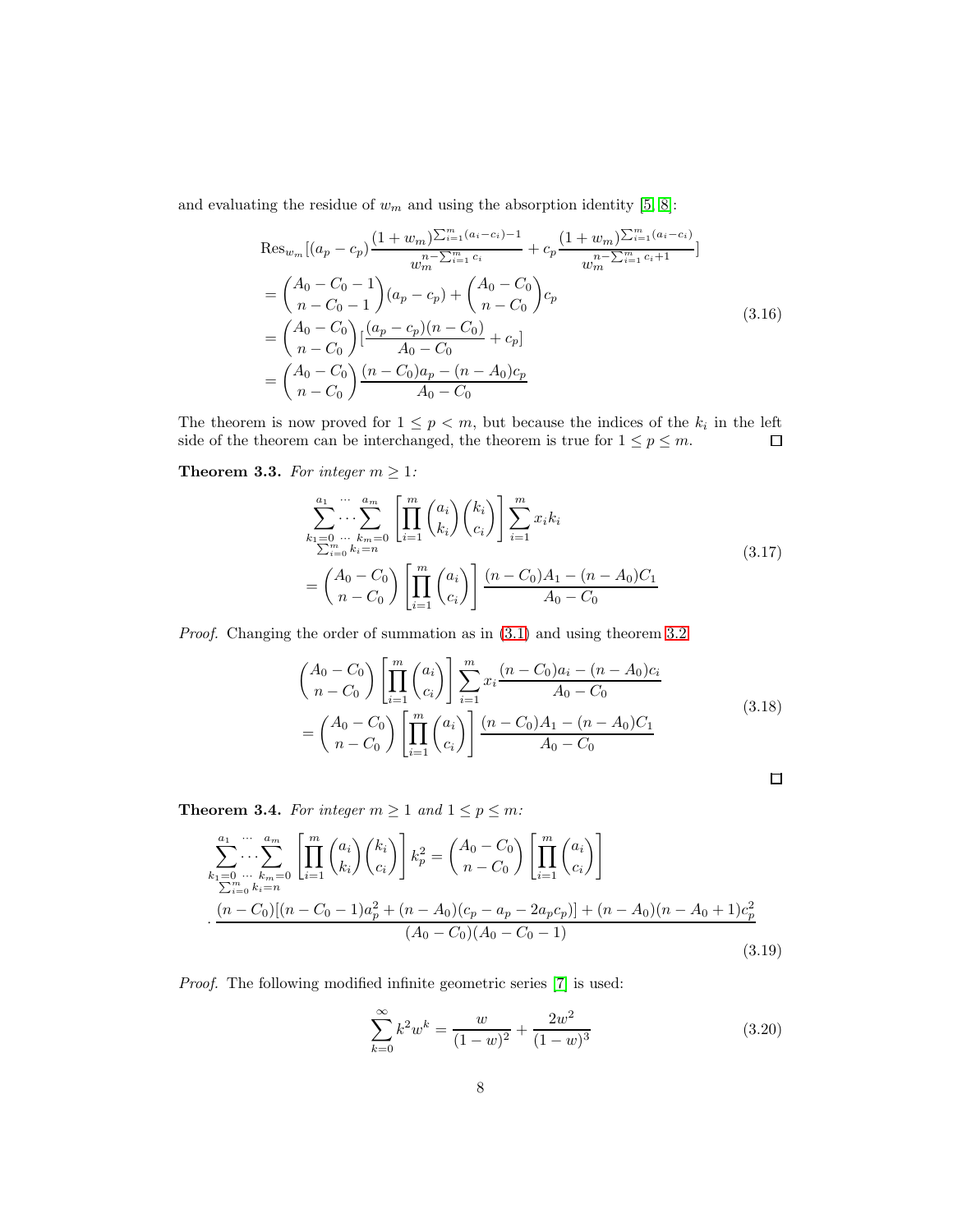and evaluating the residue of  $w_m$  and using the absorption identity [\[5,](#page-23-3) [8\]](#page-23-4):

$$
\operatorname{Res}_{w_m}[(a_p - c_p) \frac{(1 + w_m)\sum_{i=1}^m (a_i - c_i) - 1}{w_m^n - \sum_{i=1}^m c_i} + c_p \frac{(1 + w_m)\sum_{i=1}^m (a_i - c_i)}{w_m^n - \sum_{i=1}^m c_i + 1}]
$$
\n
$$
= \binom{A_0 - C_0 - 1}{n - C_0 - 1} (a_p - c_p) + \binom{A_0 - C_0}{n - C_0} c_p
$$
\n
$$
= \binom{A_0 - C_0}{n - C_0} \left[ \frac{(a_p - c_p)(n - C_0)}{A_0 - C_0} + c_p \right]
$$
\n
$$
= \binom{A_0 - C_0}{n - C_0} \frac{(n - C_0)a_p - (n - A_0)c_p}{A_0 - C_0}
$$
\n(3.16)

The theorem is now proved for  $1 \leq p < m$ , but because the indices of the  $k_i$  in the left side of the theorem can be interchanged, the theorem is true for  $1 \le p \le m$ .  $\Box$ 

**Theorem 3.3.** *For integer*  $m \geq 1$ *:* 

$$
\sum_{\substack{k_1=0 \ \dots \ k_m=0}}^{a_1 \ \dots \ a_m} \left[ \prod_{i=1}^m \binom{a_i}{k_i} \binom{k_i}{c_i} \right] \sum_{i=1}^m x_i k_i
$$
\n
$$
= \binom{A_0 - C_0}{n - C_0} \left[ \prod_{i=1}^m \binom{a_i}{c_i} \right] \frac{(n - C_0)A_1 - (n - A_0)C_1}{A_0 - C_0}
$$
\n(3.17)

*Proof.* Changing the order of summation as in  $(3.1)$  and using theorem [3.2:](#page-6-0)

$$
\begin{aligned}\n\binom{A_0 - C_0}{n - C_0} \left[ \prod_{i=1}^m \binom{a_i}{c_i} \right] \sum_{i=1}^m x_i \frac{(n - C_0)a_i - (n - A_0)c_i}{A_0 - C_0} \\
= \binom{A_0 - C_0}{n - C_0} \left[ \prod_{i=1}^m \binom{a_i}{c_i} \right] \frac{(n - C_0)A_1 - (n - A_0)C_1}{A_0 - C_0}\n\end{aligned} \tag{3.18}
$$

 $\Box$ 

<span id="page-7-0"></span>**Theorem 3.4.** For integer  $m \geq 1$  and  $1 \leq p \leq m$ :

$$
\sum_{k_1=0}^{a_1} \cdots \sum_{k_m=0}^{a_m} \left[ \prod_{i=1}^m {a_i \choose k_i} {k_i \choose c_i} \right] k_p^2 = {A_0 - C_0 \choose n - C_0} \left[ \prod_{i=1}^m {a_i \choose c_i} \right]
$$
  
 
$$
\cdot \frac{(n - C_0)[(n - C_0 - 1)a_p^2 + (n - A_0)(c_p - a_p - 2a_p c_p)] + (n - A_0)(n - A_0 + 1)c_p^2}{(A_0 - C_0)(A_0 - C_0 - 1)}
$$
(3.19)

*Proof.* The following modified infinite geometric series [\[7\]](#page-23-2) is used:

$$
\sum_{k=0}^{\infty} k^2 w^k = \frac{w}{(1-w)^2} + \frac{2w^2}{(1-w)^3}
$$
\n(3.20)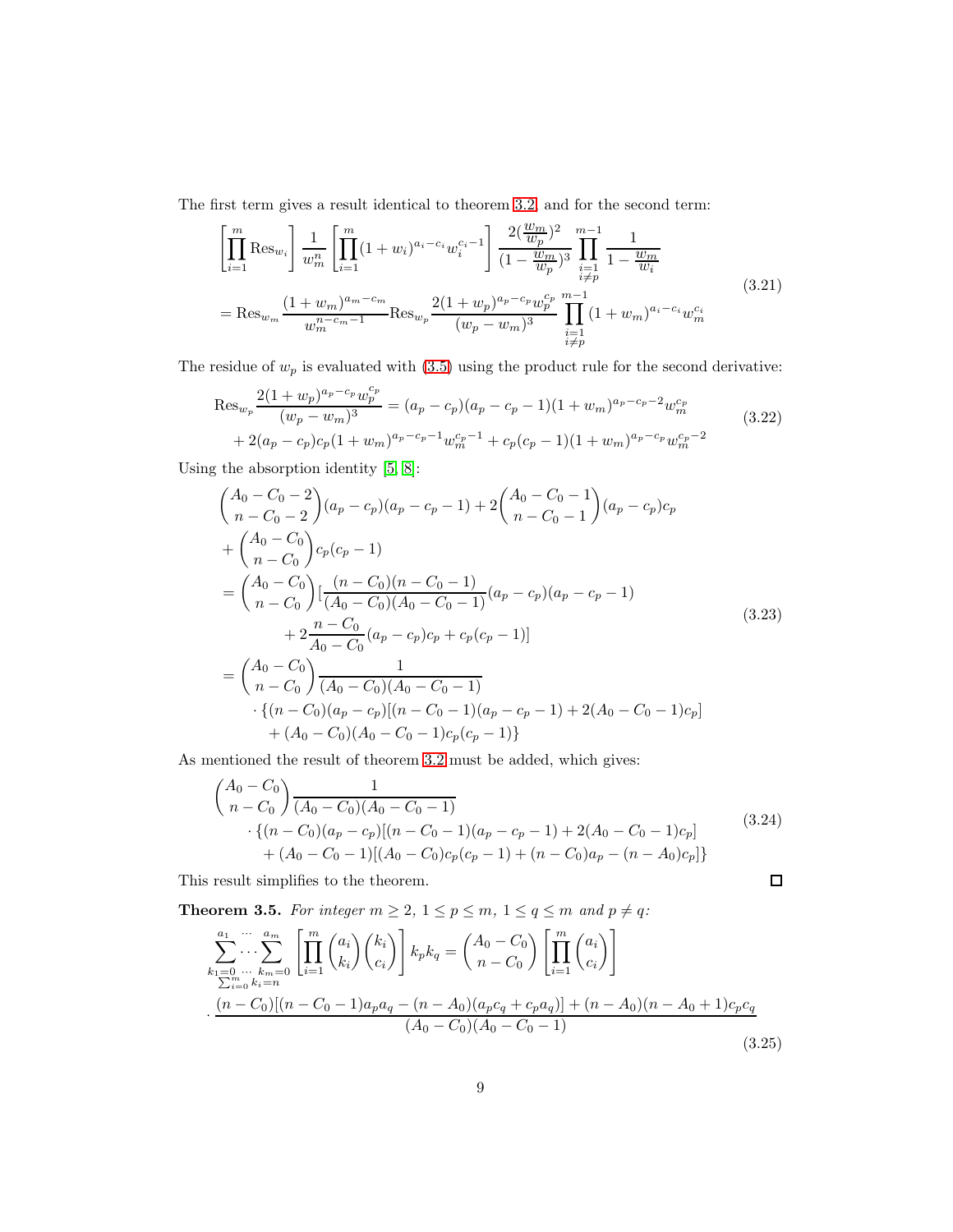The first term gives a result identical to theorem [3.2,](#page-6-0) and for the second term:

$$
\left[\prod_{i=1}^{m} \text{Res}_{w_{i}}\right] \frac{1}{w_{m}^{n}} \left[\prod_{i=1}^{m} (1+w_{i})^{a_{i}-c_{i}} w_{i}^{c_{i}-1}\right] \frac{2(\frac{w_{m}}{w_{p}})^{2}}{(1-\frac{w_{m}}{w_{p}})^{3}} \prod_{\substack{i=1 \ i\neq p}}^{m-1} \frac{1}{1-\frac{w_{m}}{w_{i}}}
$$
\n
$$
= \text{Res}_{w_{m}} \frac{(1+w_{m})^{a_{m}-c_{m}}}{w_{m}^{n-c_{m}-1}} \text{Res}_{w_{p}} \frac{2(1+w_{p})^{a_{p}-c_{p}} w_{p}^{c_{p}}}{(w_{p}-w_{m})^{3}} \prod_{\substack{i=1 \ i\neq p}}^{m-1} (1+w_{m})^{a_{i}-c_{i}} w_{m}^{c_{i}}
$$
\n
$$
(3.21)
$$

The residue of  $w_p$  is evaluated with  $(3.5)$  using the product rule for the second derivative:

$$
\operatorname{Res}_{w_p} \frac{2(1+w_p)^{a_p-c_p} w_p^{c_p}}{(w_p-w_m)^3} = (a_p-c_p)(a_p-c_p-1)(1+w_m)^{a_p-c_p-2} w_m^{c_p} + 2(a_p-c_p)c_p(1+w_m)^{a_p-c_p-1} w_m^{c_p-1} + c_p(c_p-1)(1+w_m)^{a_p-c_p} w_m^{c_p-2}
$$
\n(3.22)

Using the absorption identity [\[5,](#page-23-3) [8\]](#page-23-4):

$$
\begin{aligned}\n&\left(\begin{matrix} A_0 - C_0 - 2 \\ n - C_0 - 2 \end{matrix}\right)(a_p - c_p)(a_p - c_p - 1) + 2\left(\begin{matrix} A_0 - C_0 - 1 \\ n - C_0 - 1 \end{matrix}\right)(a_p - c_p)c_p \\
&+ \left(\begin{matrix} A_0 - C_0 \\ n - C_0 \end{matrix}\right)c_p(c_p - 1) \\
&= \left(\begin{matrix} A_0 - C_0 \\ n - C_0 \end{matrix}\right)\left[\frac{(n - C_0)(n - C_0 - 1)}{(A_0 - C_0)(A_0 - C_0 - 1)}(a_p - c_p)(a_p - c_p - 1) \\
&+ 2\frac{n - C_0}{A_0 - C_0}(a_p - c_p)c_p + c_p(c_p - 1)\right] \\
&= \left(\begin{matrix} A_0 - C_0 \\ n - C_0 \end{matrix}\right)\frac{1}{(A_0 - C_0)(A_0 - C_0 - 1)} \\
&\cdot \{(n - C_0)(a_p - c_p)[(n - C_0 - 1)(a_p - c_p - 1) + 2(A_0 - C_0 - 1)c_p] \\
&\quad + (A_0 - C_0)(A_0 - C_0 - 1)c_p(c_p - 1)\}\n\end{aligned} \tag{3.23}
$$

As mentioned the result of theorem [3.2](#page-6-0) must be added, which gives:

$$
\begin{aligned}\n\left(\begin{array}{c}\nA_0 - C_0 \\
n - C_0\n\end{array}\right) & \frac{1}{(A_0 - C_0)(A_0 - C_0 - 1)} \\
& \cdot \left\{ (n - C_0)(a_p - c_p)[(n - C_0 - 1)(a_p - c_p - 1) + 2(A_0 - C_0 - 1)c_p] \\
& \quad + (A_0 - C_0 - 1)[(A_0 - C_0)c_p(c_p - 1) + (n - C_0)a_p - (n - A_0)c_p] \right\}\n\end{aligned}\n\tag{3.24}
$$

 $\Box$ 

This result simplifies to the theorem.

<span id="page-8-0"></span>**Theorem 3.5.** For integer  $m \geq 2$ ,  $1 \leq p \leq m$ ,  $1 \leq q \leq m$  and  $p \neq q$ :

$$
\sum_{\substack{k_1=0 \ \cdots \ k_m=0}}^{a_1 \ \cdots \ a_m} \left[ \prod_{i=1}^m \binom{a_i}{k_i} \binom{k_i}{c_i} \right] k_p k_q = \binom{A_0 - C_0}{n - C_0} \left[ \prod_{i=1}^m \binom{a_i}{c_i} \right]
$$
\n
$$
\cdot \frac{(n - C_0)[(n - C_0 - 1)a_p a_q - (n - A_0)(a_p c_q + c_p a_q)] + (n - A_0)(n - A_0 + 1)c_p c_q}{(A_0 - C_0)(A_0 - C_0 - 1)} \tag{3.25}
$$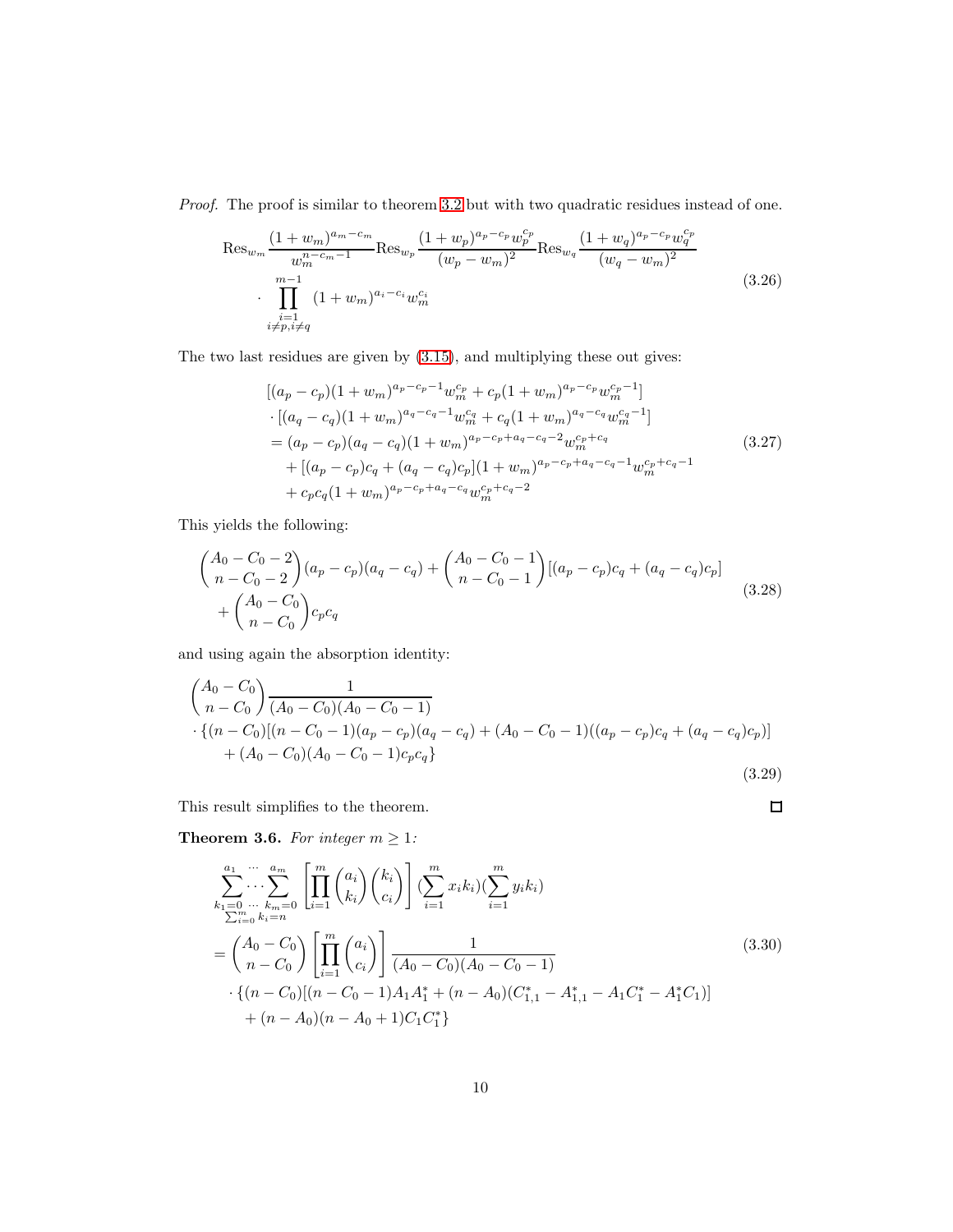*Proof.* The proof is similar to theorem [3.2](#page-6-0) but with two quadratic residues instead of one.

$$
\operatorname{Res}_{w_m} \frac{(1+w_m)^{a_m-c_m}}{w_m^{n-c_{m-1}}} \operatorname{Res}_{w_p} \frac{(1+w_p)^{a_p-c_p} w_p^{c_p}}{(w_p - w_m)^2} \operatorname{Res}_{w_q} \frac{(1+w_q)^{a_p-c_p} w_q^{c_p}}{(w_q - w_m)^2} \cdot \prod_{\substack{i=1 \ i \neq p, i \neq q}}^{m-1} (1+w_m)^{a_i-c_i} w_m^{c_i}
$$
\n(3.26)

The two last residues are given by [\(3.15\)](#page-6-1), and multiplying these out gives:

$$
[(a_p - c_p)(1 + w_m)^{a_p - c_p - 1}w_m^{c_p} + c_p(1 + w_m)^{a_p - c_p}w_m^{c_p - 1}]
$$
  
\n
$$
\cdot [(a_q - c_q)(1 + w_m)^{a_q - c_q - 1}w_m^{c_q} + c_q(1 + w_m)^{a_q - c_q}w_m^{c_q - 1}]
$$
  
\n
$$
= (a_p - c_p)(a_q - c_q)(1 + w_m)^{a_p - c_p + a_q - c_q - 2}w_m^{c_p + c_q}
$$
  
\n
$$
+ [(a_p - c_p)c_q + (a_q - c_q)c_p](1 + w_m)^{a_p - c_p + a_q - c_q - 1}w_m^{c_p + c_q - 1}
$$
  
\n
$$
+ c_p c_q(1 + w_m)^{a_p - c_p + a_q - c_q}w_m^{c_p + c_q - 2}
$$
\n(3.27)

This yields the following:

$$
\begin{aligned}\n\binom{A_0 - C_0 - 2}{n - C_0 - 2}(a_p - c_p)(a_q - c_q) + \binom{A_0 - C_0 - 1}{n - C_0 - 1}[(a_p - c_p)c_q + (a_q - c_q)c_p] \\
&+ \binom{A_0 - C_0}{n - C_0}c_p c_q\n\end{aligned} \tag{3.28}
$$

and using again the absorption identity:

$$
\begin{aligned}\n\binom{A_0 - C_0}{n - C_0} & \frac{1}{(A_0 - C_0)(A_0 - C_0 - 1)} \\
& \cdot \left\{ (n - C_0)[(n - C_0 - 1)(a_p - c_p)(a_q - c_q) + (A_0 - C_0 - 1)((a_p - c_p)c_q + (a_q - c_q)c_p) \right\} \\
& \quad + (A_0 - C_0)(A_0 - C_0 - 1)c_p c_q \right\}\n\end{aligned} \tag{3.29}
$$

This result simplifies to the theorem.

<span id="page-9-0"></span>**Theorem 3.6.** For integer  $m \geq 1$ :

$$
\sum_{k_1=0 \atop \sum i=0}^{a_1 \cdots} \sum_{k_m=0}^{a_m} \left[ \prod_{i=1}^m {a_i \choose k_i} {k_i \choose c_i} \right] \left( \sum_{i=1}^m x_i k_i \right) \left( \sum_{i=1}^m y_i k_i \right)
$$
\n
$$
= \binom{A_0 - C_0}{n - C_0} \left[ \prod_{i=1}^m {a_i \choose c_i} \right] \frac{1}{(A_0 - C_0)(A_0 - C_0 - 1)}
$$
\n
$$
\cdot \left\{ (n - C_0) [(n - C_0 - 1)A_1 A_1^* + (n - A_0)(C_{1,1}^* - A_{1,1}^* - A_1 C_1^* - A_1^* C_1)] \right\}
$$
\n
$$
+ (n - A_0)(n - A_0 + 1)C_1 C_1^*
$$
\n(3.30)

 $\Box$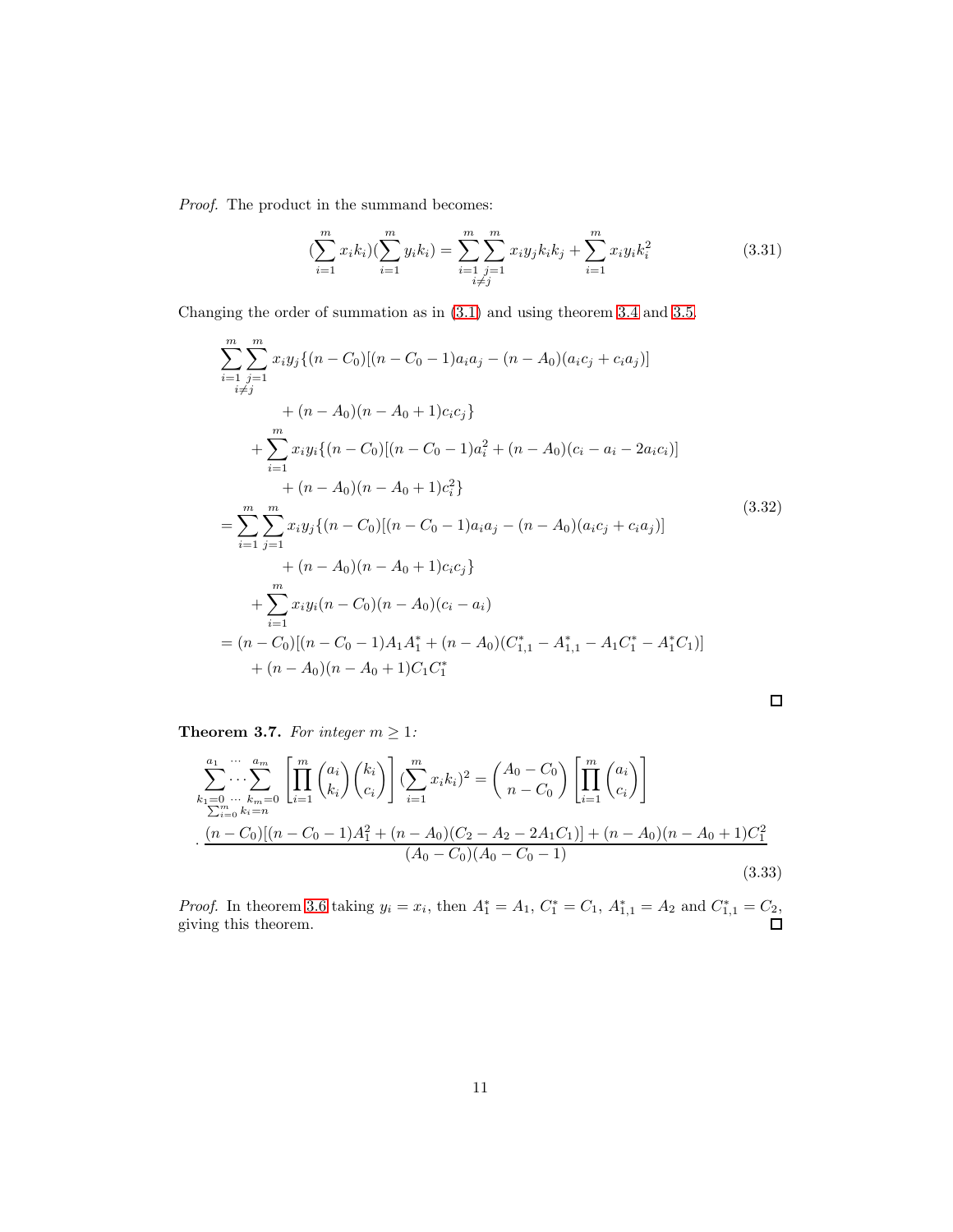*Proof.* The product in the summand becomes:

$$
\left(\sum_{i=1}^{m} x_{i} k_{i}\right) \left(\sum_{i=1}^{m} y_{i} k_{i}\right) = \sum_{\substack{i=1 \ i \neq j}}^{m} \sum_{j=1}^{m} x_{i} y_{j} k_{i} k_{j} + \sum_{i=1}^{m} x_{i} y_{i} k_{i}^{2}
$$
\n(3.31)

Changing the order of summation as in [\(3.1\)](#page-4-0) and using theorem [3.4](#page-7-0) and [3.5.](#page-8-0)

$$
\sum_{i=1}^{m} \sum_{j=1}^{m} x_i y_j \{(n - C_0)[(n - C_0 - 1)a_i a_j - (n - A_0)(a_i c_j + c_i a_j)]
$$
  
+ 
$$
(n - A_0)(n - A_0 + 1)c_i c_j \}
$$
  
+ 
$$
\sum_{i=1}^{m} x_i y_i \{(n - C_0)[(n - C_0 - 1)a_i^2 + (n - A_0)(c_i - a_i - 2a_i c_i)]
$$
  
+ 
$$
(n - A_0)(n - A_0 + 1)c_i^2 \}
$$
  
= 
$$
\sum_{i=1}^{m} \sum_{j=1}^{m} x_i y_j \{(n - C_0)[(n - C_0 - 1)a_i a_j - (n - A_0)(a_i c_j + c_i a_j)]
$$
  
+ 
$$
(n - A_0)(n - A_0 + 1)c_i c_j \}
$$
  
+ 
$$
\sum_{i=1}^{m} x_i y_i (n - C_0)[(n - A_0)(c_i - a_i)
$$
  
= 
$$
(n - C_0)[(n - C_0 - 1)A_1 A_1^* + (n - A_0)(C_{1,1}^* - A_{1,1}^* - A_1 C_1^* - A_1^* C_1)]
$$
  
+ 
$$
(n - A_0)(n - A_0 + 1)C_1 C_1^*
$$
 (11)

<span id="page-10-0"></span>**Theorem 3.7.** For integer  $m \geq 1$ :

$$
\sum_{k_1=0}^{a_1} \cdots \sum_{k_m=0}^{a_m} \left[ \prod_{i=1}^m {a_i \choose k_i} {k_i \choose c_i} \right] \left( \sum_{i=1}^m x_i k_i \right)^2 = {A_0 - C_0 \choose n - C_0} \left[ \prod_{i=1}^m {a_i \choose c_i} \right]
$$
  

$$
\sum_{i=0}^m \sum_{k_i=n}^{m_i} k_i = n
$$
  

$$
\cdot \frac{(n - C_0)[(n - C_0 - 1)A_1^2 + (n - A_0)(C_2 - A_2 - 2A_1C_1)] + (n - A_0)(n - A_0 + 1)C_1^2}{(A_0 - C_0)(A_0 - C_0 - 1)}
$$
 (3.33)

 $\Box$ 

*Proof.* In theorem [3.6](#page-9-0) taking  $y_i = x_i$ , then  $A_1^* = A_1$ ,  $C_1^* = C_1$ ,  $A_{1,1}^* = A_2$  and  $C_{1,1}^* = C_2$ , giving this theorem.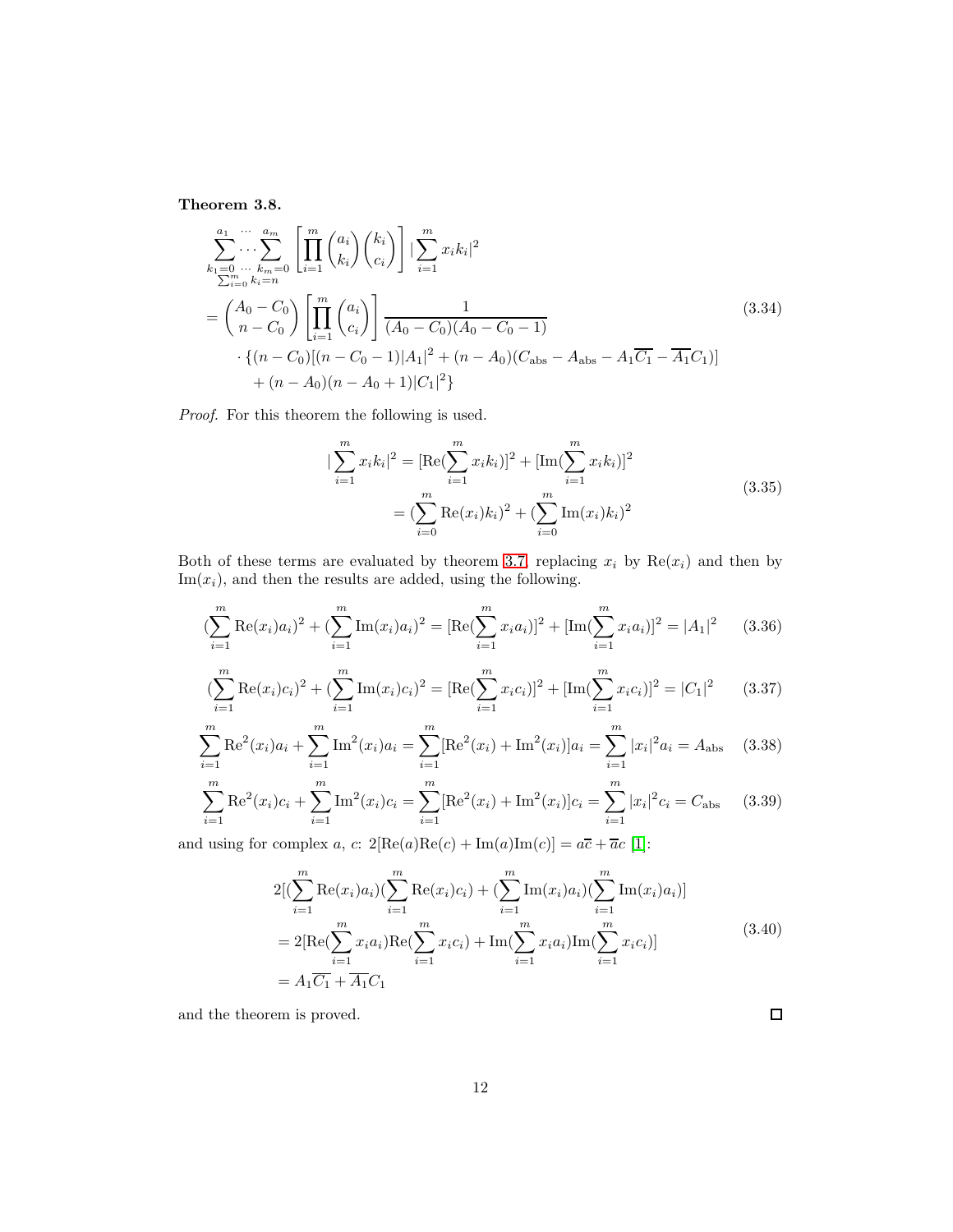<span id="page-11-0"></span>Theorem 3.8.

$$
\sum_{\substack{k_1=0 \ \dots \ k_m=0}}^{a_1 \ \dots \ a_m} \left[ \prod_{i=1}^m {a_i \choose k_i} {k_i \choose c_i} \right] \left| \sum_{i=1}^m x_i k_i \right|^2
$$
\n
$$
= {A_0 - C_0 \choose n - C_0} \left[ \prod_{i=1}^m {a_i \choose c_i} \right] \frac{1}{(A_0 - C_0)(A_0 - C_0 - 1)}
$$
\n
$$
\cdot \left\{ (n - C_0) [(n - C_0 - 1)|A_1|^2 + (n - A_0)(C_{\text{abs}} - A_{\text{abs}} - A_1 \overline{C_1} - \overline{A_1} C_1)] + (n - A_0)(n - A_0 + 1)|C_1|^2 \right\}
$$
\n(3.34)

*Proof.* For this theorem the following is used.

$$
\sum_{i=1}^{m} x_{i} k_{i} |^{2} = \left[ \text{Re}(\sum_{i=1}^{m} x_{i} k_{i}) \right]^{2} + \left[ \text{Im}(\sum_{i=1}^{m} x_{i} k_{i}) \right]^{2}
$$

$$
= (\sum_{i=0}^{m} \text{Re}(x_{i}) k_{i})^{2} + (\sum_{i=0}^{m} \text{Im}(x_{i}) k_{i})^{2}
$$
(3.35)

Both of these terms are evaluated by theorem [3.7,](#page-10-0) replacing  $x_i$  by  $\text{Re}(x_i)$  and then by  $Im(x<sub>i</sub>)$ , and then the results are added, using the following.

$$
\left(\sum_{i=1}^{m} \text{Re}(x_i) a_i\right)^2 + \left(\sum_{i=1}^{m} \text{Im}(x_i) a_i\right)^2 = \left[\text{Re}\left(\sum_{i=1}^{m} x_i a_i\right)\right]^2 + \left[\text{Im}\left(\sum_{i=1}^{m} x_i a_i\right)\right]^2 = |A_1|^2 \tag{3.36}
$$

$$
\left(\sum_{i=1}^{m} \text{Re}(x_i)c_i\right)^2 + \left(\sum_{i=1}^{m} \text{Im}(x_i)c_i\right)^2 = \left[\text{Re}\left(\sum_{i=1}^{m} x_ic_i\right)\right]^2 + \left[\text{Im}\left(\sum_{i=1}^{m} x_ic_i\right)\right]^2 = |C_1|^2 \tag{3.37}
$$

$$
\sum_{i=1}^{m} \text{Re}^{2}(x_{i}) a_{i} + \sum_{i=1}^{m} \text{Im}^{2}(x_{i}) a_{i} = \sum_{i=1}^{m} [\text{Re}^{2}(x_{i}) + \text{Im}^{2}(x_{i})] a_{i} = \sum_{i=1}^{m} |x_{i}|^{2} a_{i} = A_{\text{abs}} \quad (3.38)
$$

$$
\sum_{i=1}^{m} \text{Re}^{2}(x_{i})c_{i} + \sum_{i=1}^{m} \text{Im}^{2}(x_{i})c_{i} = \sum_{i=1}^{m} [\text{Re}^{2}(x_{i}) + \text{Im}^{2}(x_{i})]c_{i} = \sum_{i=1}^{m} |x_{i}|^{2}c_{i} = C_{\text{abs}} \quad (3.39)
$$

and using for complex  $a, c: 2[Re(a)Re(c) + Im(a)Im(c)] = a\overline{c} + \overline{a}c$  [\[1\]](#page-23-5):

$$
2[(\sum_{i=1}^{m} \text{Re}(x_i)a_i)(\sum_{i=1}^{m} \text{Re}(x_i)c_i) + (\sum_{i=1}^{m} \text{Im}(x_i)a_i)(\sum_{i=1}^{m} \text{Im}(x_i)a_i)]
$$
  
= 2[Re( $\sum_{i=1}^{m} x_i a_i$ )Re( $\sum_{i=1}^{m} x_i c_i$ ) + Im( $\sum_{i=1}^{m} x_i a_i$ )Im( $\sum_{i=1}^{m} x_i c_i$ )]  
= A<sub>1</sub> $\overline{C_1} + \overline{A_1}C_1$  (3.40)

and the theorem is proved.

 $\Box$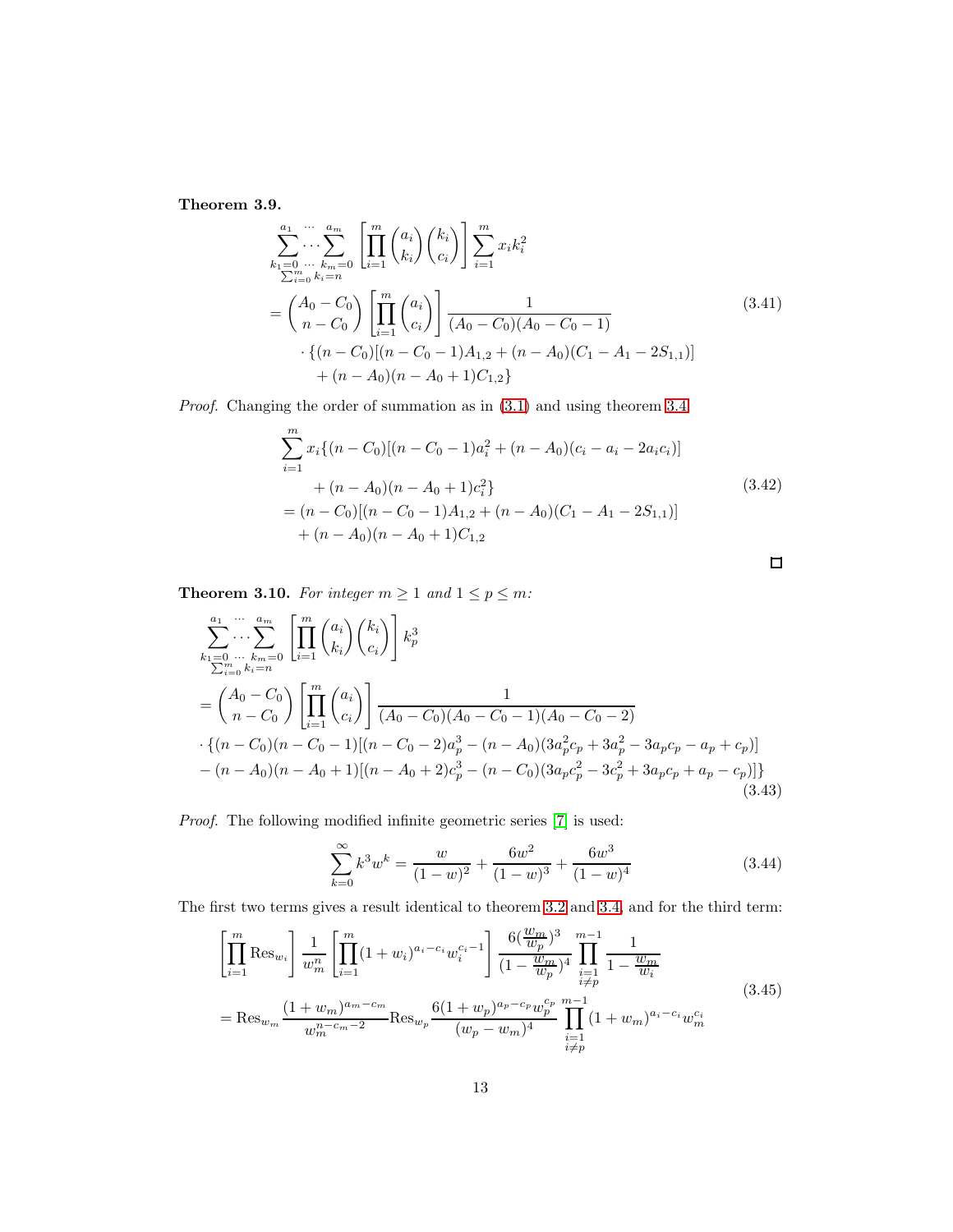Theorem 3.9.

$$
\sum_{k_1=0}^{a_1} \cdots \sum_{k_m=0}^{a_m} \left[ \prod_{i=1}^m {a_i \choose k_i} {k_i \choose c_i} \right] \sum_{i=1}^m x_i k_i^2
$$
\n
$$
= {A_0 - C_0 \choose n - C_0} \left[ \prod_{i=1}^m {a_i \choose c_i} \right] \frac{1}{(A_0 - C_0)(A_0 - C_0 - 1)}
$$
\n
$$
\cdot \left\{ (n - C_0) [(n - C_0 - 1)A_{1,2} + (n - A_0)(C_1 - A_1 - 2S_{1,1})] + (n - A_0)(n - A_0 + 1)C_{1,2} \right\}
$$
\n(3.41)

*Proof.* Changing the order of summation as in [\(3.1\)](#page-4-0) and using theorem [3.4.](#page-7-0)

$$
\sum_{i=1}^{m} x_i \{(n - C_0)[(n - C_0 - 1)a_i^2 + (n - A_0)(c_i - a_i - 2a_i c_i)]
$$
  
+  $(n - A_0)(n - A_0 + 1)c_i^2\}$   
=  $(n - C_0)[(n - C_0 - 1)A_{1,2} + (n - A_0)(C_1 - A_1 - 2S_{1,1})]$   
+  $(n - A_0)(n - A_0 + 1)C_{1,2}$  (3.42)

 $\Box$ 

<span id="page-12-0"></span>**Theorem 3.10.** For integer  $m \ge 1$  and  $1 \le p \le m$ :

$$
\sum_{k_1=0 \atop 2m \equiv 0 \atop 2m \equiv 0}^{a_1 \cdots a_m} \left[ \prod_{i=1}^m {a_i \choose k_i} {k_i \choose c_i} \right] k_p^3
$$
\n
$$
= \binom{A_0 - C_0}{n - C_0} \left[ \prod_{i=1}^m {a_i \choose c_i} \right] \frac{1}{(A_0 - C_0)(A_0 - C_0 - 1)(A_0 - C_0 - 2)}
$$
\n
$$
\cdot \{(n - C_0)(n - C_0 - 1)[(n - C_0 - 2)a_p^3 - (n - A_0)(3a_p^2c_p + 3a_p^2 - 3a_pc_p - a_p + c_p)] - (n - A_0)(n - A_0 + 1)[(n - A_0 + 2)c_p^3 - (n - C_0)(3a_pc_p^2 - 3c_p^2 + 3a_pc_p + a_p - c_p)]\}
$$
\n(3.43)

 $Proof.$  The following modified infinite geometric series  $[7]$  is used:

$$
\sum_{k=0}^{\infty} k^3 w^k = \frac{w}{(1-w)^2} + \frac{6w^2}{(1-w)^3} + \frac{6w^3}{(1-w)^4}
$$
(3.44)

The first two terms gives a result identical to theorem [3.2](#page-6-0) and [3.4,](#page-7-0) and for the third term:

$$
\left[\prod_{i=1}^{m} \text{Res}_{w_{i}}\right] \frac{1}{w_{m}^{n}} \left[\prod_{i=1}^{m} (1+w_{i})^{a_{i}-c_{i}} w_{i}^{c_{i}-1}\right] \frac{6(\frac{w_{m}}{w_{p}})^{3}}{(1-\frac{w_{m}}{w_{p}})^{4}} \prod_{\substack{i=1 \ i \neq p}}^{m-1} \frac{1}{1-\frac{w_{m}}{w_{i}}}
$$
\n
$$
= \text{Res}_{w_{m}} \frac{(1+w_{m})^{a_{m}-c_{m}}}{w_{m}^{n-c_{m}-2}} \text{Res}_{w_{p}} \frac{6(1+w_{p})^{a_{p}-c_{p}} w_{p}^{c_{p}}}{(w_{p}-w_{m})^{4}} \prod_{\substack{i=1 \ i \neq p}}^{m-1} (1+w_{m})^{a_{i}-c_{i}} w_{m}^{c_{i}}
$$
\n
$$
(3.45)
$$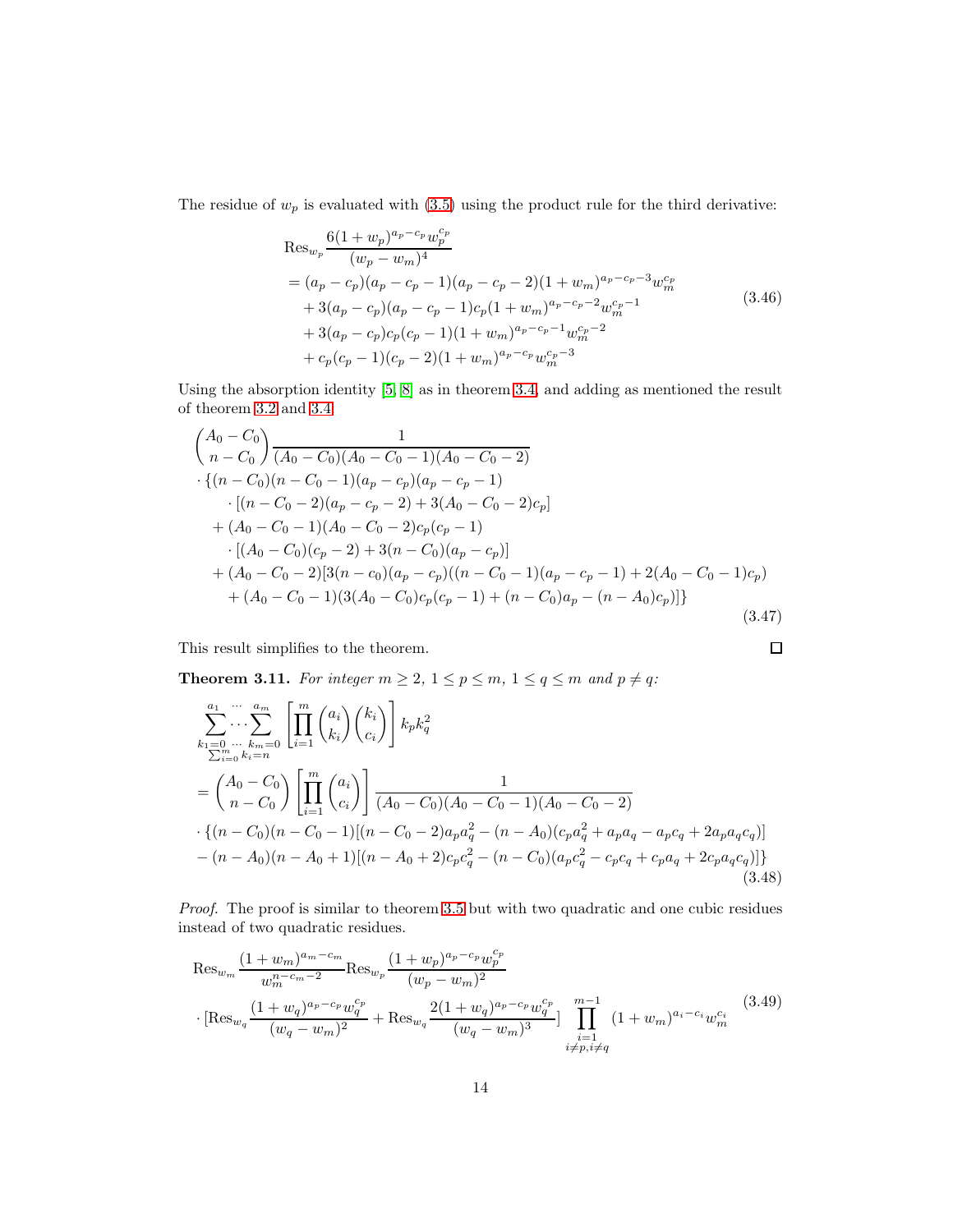The residue of  $w_p$  is evaluated with  $(3.5)$  using the product rule for the third derivative:

$$
\operatorname{Res}_{w_p} \frac{6(1+w_p)^{a_p-c_p} w_p^{c_p}}{(w_p-w_m)^4}
$$
  
=  $(a_p-c_p)(a_p-c_p-1)(a_p-c_p-2)(1+w_m)^{a_p-c_p-3}w_m^{c_p}$   
+  $3(a_p-c_p)(a_p-c_p-1)c_p(1+w_m)^{a_p-c_p-2}w_m^{c_p-1}$   
+  $3(a_p-c_p)c_p(c_p-1)(1+w_m)^{a_p-c_p-1}w_m^{c_p-2}$   
+  $c_p(c_p-1)(c_p-2)(1+w_m)^{a_p-c_p}w_m^{c_p-3}$  (3.46)

Using the absorption identity [\[5,](#page-23-3) [8\]](#page-23-4) as in theorem [3.4,](#page-7-0) and adding as mentioned the result of theorem [3.2](#page-6-0) and [3.4:](#page-7-0)

$$
\begin{aligned}\n&\left(\begin{array}{c}\nA_0 - C_0 \\
n - C_0\n\end{array}\right) \frac{1}{(A_0 - C_0)(A_0 - C_0 - 1)(A_0 - C_0 - 2)} \\
&\cdot \{(n - C_0)(n - C_0 - 1)(a_p - c_p)(a_p - c_p - 1) \\
&\cdot \left[(n - C_0 - 2)(a_p - c_p - 2) + 3(A_0 - C_0 - 2)c_p\right] \\
&\quad + (A_0 - C_0 - 1)(A_0 - C_0 - 2)c_p(c_p - 1) \\
&\cdot \left[(A_0 - C_0)(c_p - 2) + 3(n - C_0)(a_p - c_p)\right] \\
&\quad + (A_0 - C_0 - 2)[3(n - c_0)(a_p - c_p)((n - C_0 - 1)(a_p - c_p - 1) + 2(A_0 - C_0 - 1)c_p) \\
&\quad + (A_0 - C_0 - 1)(3(A_0 - C_0)c_p(c_p - 1) + (n - C_0)a_p - (n - A_0)c_p)\right]\n\end{aligned}
$$
\n(3.47)

 $\Box$ 

This result simplifies to the theorem.

<span id="page-13-0"></span>**Theorem 3.11.** For integer  $m \geq 2$ ,  $1 \leq p \leq m$ ,  $1 \leq q \leq m$  and  $p \neq q$ :

$$
\sum_{k_1=0 \atop 2m}^{a_1 \atop 2m} \cdots \sum_{k_m=0}^{a_m} \left[ \prod_{i=1}^m \binom{a_i}{k_i} \binom{k_i}{c_i} \right] k_p k_q^2
$$
\n
$$
= \binom{A_0 - C_0}{n - C_0} \left[ \prod_{i=1}^m \binom{a_i}{c_i} \right] \frac{1}{(A_0 - C_0)(A_0 - C_0 - 1)(A_0 - C_0 - 2)}
$$
\n
$$
\cdot \left\{ (n - C_0)(n - C_0 - 1)[(n - C_0 - 2)a_p a_q^2 - (n - A_0)(c_p a_q^2 + a_p a_q - a_p c_q + 2a_p a_q c_q)] - (n - A_0)(n - A_0 + 1)[(n - A_0 + 2)c_p c_q^2 - (n - C_0)(a_p c_q^2 - c_p c_q + c_p a_q + 2c_p a_q c_q)] \right\}
$$
\n(3.48)

*Proof.* The proof is similar to theorem [3.5](#page-8-0) but with two quadratic and one cubic residues instead of two quadratic residues.

$$
\operatorname{Res}_{w_m} \frac{(1+w_m)^{a_m-c_m}}{w_m^{n-c_m-2}} \operatorname{Res}_{w_p} \frac{(1+w_p)^{a_p-c_p}w_p^{c_p}}{(w_p-w_m)^2} + \operatorname{Res}_{w_q} \frac{2(1+w_q)^{a_p-c_p}w_q^{c_p}}{(w_q-w_m)^3} \prod_{\substack{i=1 \ i \neq p, i \neq q}}^{m-1} (1+w_m)^{a_i-c_i}w_m^{c_i}
$$
\n(3.49)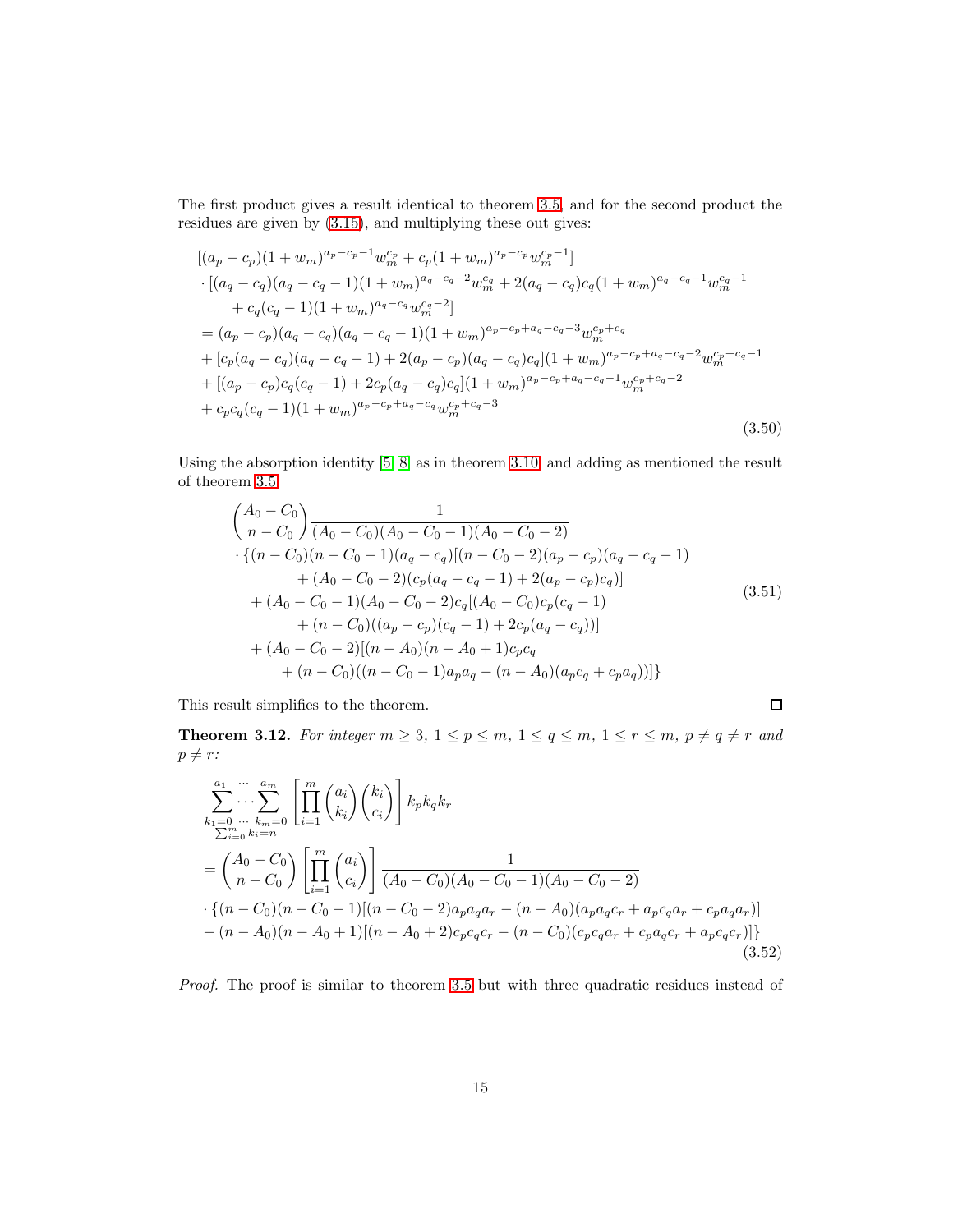The first product gives a result identical to theorem [3.5,](#page-8-0) and for the second product the residues are given by [\(3.15\)](#page-6-1), and multiplying these out gives:

$$
[(a_p - c_p)(1 + w_m)^{a_p - c_p - 1}w_m^{c_p} + c_p(1 + w_m)^{a_p - c_p}w_m^{c_p - 1}]
$$
  
\n
$$
\cdot [(a_q - c_q)(a_q - c_q - 1)(1 + w_m)^{a_q - c_q - 2}w_m^{c_q} + 2(a_q - c_q)c_q(1 + w_m)^{a_q - c_q - 1}w_m^{c_q - 1}
$$
  
\n
$$
+ c_q(c_q - 1)(1 + w_m)^{a_q - c_q}w_m^{c_q - 2}]
$$
  
\n
$$
= (a_p - c_p)(a_q - c_q)(a_q - c_q - 1)(1 + w_m)^{a_p - c_p + a_q - c_q - 3}w_m^{c_p + c_q}
$$
  
\n
$$
+ [c_p(a_q - c_q)(a_q - c_q - 1) + 2(a_p - c_p)(a_q - c_q)c_q](1 + w_m)^{a_p - c_p + a_q - c_q - 2}w_m^{c_p + c_q - 1}
$$
  
\n
$$
+ [(a_p - c_p)c_q(c_q - 1) + 2c_p(a_q - c_q)c_q](1 + w_m)^{a_p - c_p + a_q - c_q - 1}w_m^{c_p + c_q - 2}
$$
  
\n
$$
+ c_p c_q(c_q - 1)(1 + w_m)^{a_p - c_p + a_q - c_q}w_m^{c_p + c_q - 3}
$$
\n(3.50)

Using the absorption identity [\[5,](#page-23-3) [8\]](#page-23-4) as in theorem [3.10,](#page-12-0) and adding as mentioned the result of theorem [3.5:](#page-8-0)

$$
\begin{aligned}\n&\left(\begin{array}{c}\nA_0 - C_0 \\
n - C_0\n\end{array}\right) \frac{1}{(A_0 - C_0)(A_0 - C_0 - 1)(A_0 - C_0 - 2)} \\
&\cdot \{(n - C_0)(n - C_0 - 1)(a_q - c_q)[(n - C_0 - 2)(a_p - c_p)(a_q - c_q - 1) \\
&\quad + (A_0 - C_0 - 2)(c_p(a_q - c_q - 1) + 2(a_p - c_p)c_q)\n\end{array}\n\right] \\
&\quad + (A_0 - C_0 - 1)(A_0 - C_0 - 2)c_q[(A_0 - C_0)c_p(c_q - 1) \\
&\quad + (n - C_0)((a_p - c_p)(c_q - 1) + 2c_p(a_q - c_q))]\n\end{aligned}\n\tag{3.51}
$$
\n
$$
+ (A_0 - C_0 - 2)[(n - A_0)(n - A_0 + 1)c_pc_q \\
&\quad + (n - C_0)((n - C_0 - 1)a_p a_q - (n - A_0)(a_p c_q + c_p a_q))]\n\}
$$

This result simplifies to the theorem.

$$
\Box
$$

<span id="page-14-0"></span>**Theorem 3.12.** For integer  $m \geq 3$ ,  $1 \leq p \leq m$ ,  $1 \leq q \leq m$ ,  $1 \leq r \leq m$ ,  $p \neq q \neq r$  and  $p \neq r$ :

$$
\sum_{k_1=0}^{a_1} \cdots \sum_{k_m=0}^{a_m} \left[ \prod_{i=1}^m {a_i \choose k_i} {k_i \choose c_i} \right] k_p k_q k_r
$$
\n
$$
= {A_0 - C_0 \choose n - C_0} \left[ \prod_{i=1}^m {a_i \choose c_i} \right] \frac{1}{(A_0 - C_0)(A_0 - C_0 - 1)(A_0 - C_0 - 2)}
$$
\n
$$
\cdot \{(n - C_0)(n - C_0 - 1)[(n - C_0 - 2)a_p a_q a_r - (n - A_0)(a_p a_q c_r + a_p c_q a_r + c_p a_q a_r)\}
$$
\n
$$
- (n - A_0)(n - A_0 + 1)[(n - A_0 + 2)c_p c_q c_r - (n - C_0)(c_p c_q a_r + c_p a_q c_r + a_p c_q c_r)]
$$
\n(3.52)

*Proof.* The proof is similar to theorem [3.5](#page-8-0) but with three quadratic residues instead of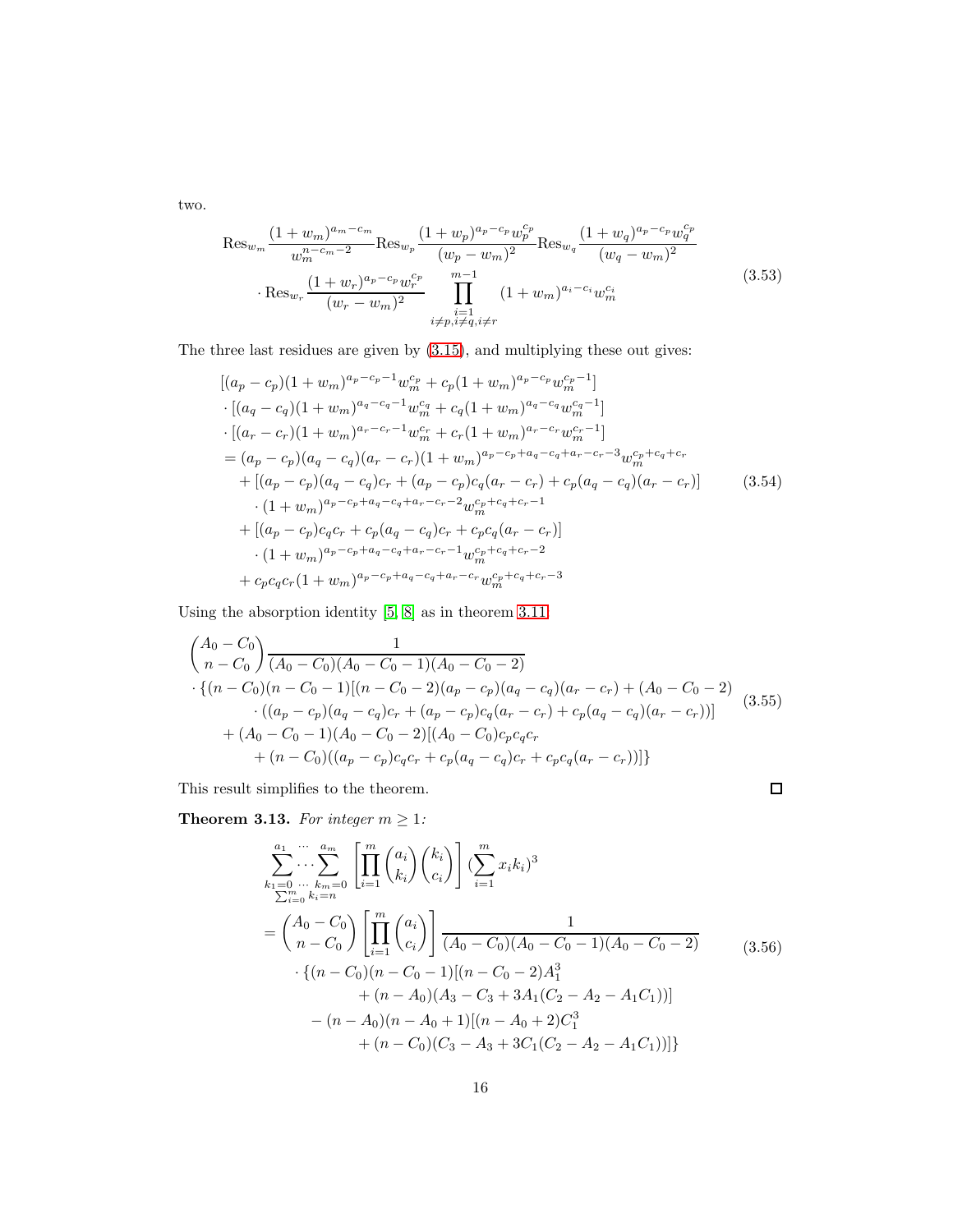two.

$$
\operatorname{Res}_{w_m} \frac{(1+w_m)^{a_m-c_m}}{w_m^{n-c_m-2}} \operatorname{Res}_{w_p} \frac{(1+w_p)^{a_p-c_p} w_p^{c_p}}{(w_p - w_m)^2} \operatorname{Res}_{w_q} \frac{(1+w_q)^{a_p-c_p} w_q^{c_p}}{(w_q - w_m)^2} \cdot \operatorname{Res}_{w_r} \frac{(1+w_r)^{a_p-c_p} w_r^{c_p}}{(w_r - w_m)^2} \prod_{\substack{i=1 \ i \neq p, i \neq q, i \neq r}}^{m-1} (1+w_m)^{a_i-c_i} w_m^{c_i}
$$
\n(3.53)

The three last residues are given by [\(3.15\)](#page-6-1), and multiplying these out gives:

$$
[(a_p - c_p)(1 + w_m)^{a_p - c_p - 1}w_m^{c_p} + c_p(1 + w_m)^{a_p - c_p}w_m^{c_p - 1}]
$$
  
\n
$$
\cdot [(a_q - c_q)(1 + w_m)^{a_q - c_q - 1}w_m^{c_q} + c_q(1 + w_m)^{a_q - c_q}w_m^{c_q - 1}]
$$
  
\n
$$
\cdot [(a_r - c_r)(1 + w_m)^{a_r - c_r - 1}w_m^{c_r} + c_r(1 + w_m)^{a_r - c_r}w_m^{c_r - 1}]
$$
  
\n
$$
= (a_p - c_p)(a_q - c_q)(a_r - c_r)(1 + w_m)^{a_p - c_p + a_q - c_q + a_r - c_r - 3}w_m^{c_p + c_q + c_r}
$$
  
\n
$$
+ [(a_p - c_p)(a_q - c_q)c_r + (a_p - c_p)c_q(a_r - c_r) + c_p(a_q - c_q)(a_r - c_r)]
$$
  
\n
$$
\cdot (1 + w_m)^{a_p - c_p + a_q - c_q + a_r - c_r - 2}w_m^{c_p + c_q + c_r - 1}
$$
  
\n
$$
+ [(a_p - c_p)c_qc_r + c_p(a_q - c_q)c_r + c_p c_q(a_r - c_r)]
$$
  
\n
$$
\cdot (1 + w_m)^{a_p - c_p + a_q - c_q + a_r - c_r - 1}w_m^{c_p + c_q + c_r - 2}
$$
  
\n
$$
+ c_p c_q c_r(1 + w_m)^{a_p - c_p + a_q - c_q + a_r - c_r}w_m^{c_p + c_q + c_r - 3}
$$

Using the absorption identity  $\left[5,\,8\right]$  as in theorem [3.11:](#page-13-0)

$$
\begin{aligned}\n&\left(\begin{matrix}A_0-C_0\\n-C_0\end{matrix}\right) \frac{1}{(A_0-C_0)(A_0-C_0-1)(A_0-C_0-2)} \\
&\cdot \left\{(n-C_0)(n-C_0-1)[(n-C_0-2)(a_p-c_p)(a_q-c_q)(a_r-c_r)+(A_0-C_0-2)\\
&\cdot ((a_p-c_p)(a_q-c_q)c_r+(a_p-c_p)c_q(a_r-c_r)+c_p(a_q-c_q)(a_r-c_r))\right\} \\
&\quad + (A_0-C_0-1)(A_0-C_0-2)[(A_0-C_0)c_pc_qc_r \\
&\quad + (n-C_0)((a_p-c_p)c_qc_r+c_p(a_q-c_q)c_r+c_pc_q(a_r-c_r))]\n\end{aligned}\n\tag{3.55}
$$

This result simplifies to the theorem. **Theorem 3.13.** For integer  $m \geq 1$ :

 $\Box$ 

$$
\sum_{k_1=0}^{a_1} \cdots \sum_{k_m=0}^{a_m} \left[ \prod_{i=1}^m {a_i \choose k_i} {k_i \choose c_i} \right] \left( \sum_{i=1}^m x_i k_i \right)^3
$$
\n
$$
= {A_0 - C_0 \choose n - C_0} \left[ \prod_{i=1}^m {a_i \choose c_i} \right] \frac{1}{(A_0 - C_0)(A_0 - C_0 - 1)(A_0 - C_0 - 2)}
$$
\n
$$
\cdot \left\{ (n - C_0)(n - C_0 - 1)[(n - C_0 - 2)A_1^3 + (n - A_0)(A_3 - C_3 + 3A_1(C_2 - A_2 - A_1C_1))] - (n - A_0)(n - A_0 + 1)[(n - A_0 + 2)C_1^3 + (n - C_0)(C_3 - A_3 + 3C_1(C_2 - A_2 - A_1C_1))] \right\}
$$
\n(3.56)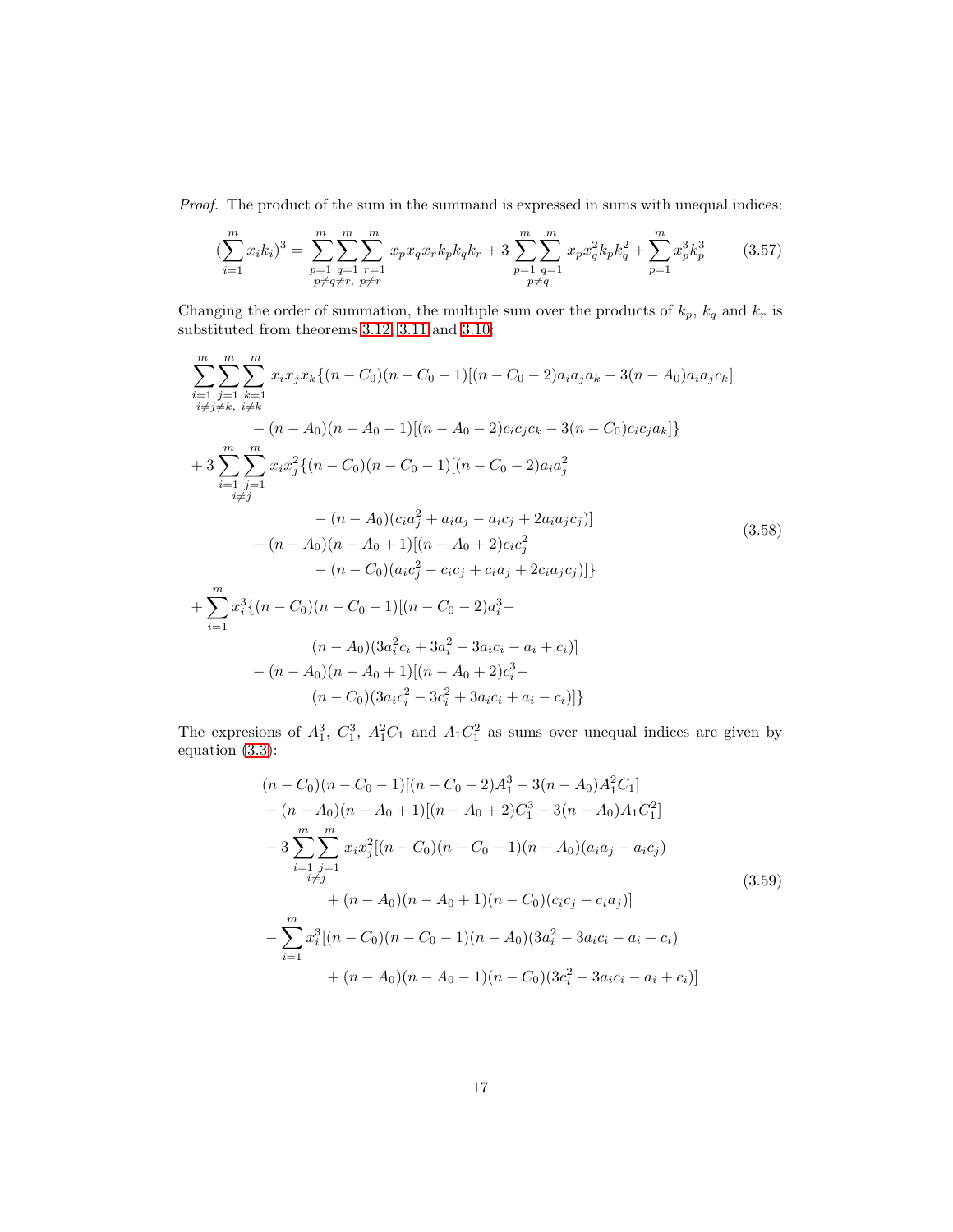*Proof.* The product of the sum in the summand is expressed in sums with unequal indices:

$$
\left(\sum_{i=1}^{m} x_{i} k_{i}\right)^{3} = \sum_{\substack{p=1 \ p \neq q \neq r, \ p \neq r}}^{m} \sum_{\substack{r=1 \ p \neq q}}^{m} x_{p} x_{q} x_{r} k_{p} k_{q} k_{r} + 3 \sum_{\substack{p=1 \ p \neq q}}^{m} \sum_{q=1}^{m} x_{p} x_{q}^{2} k_{p} k_{q}^{2} + \sum_{p=1}^{m} x_{p}^{3} k_{p}^{3} \tag{3.57}
$$

Changing the order of summation, the multiple sum over the products of  $k_p$ ,  $k_q$  and  $k_r$  is substituted from theorems [3.12,](#page-14-0) [3.11](#page-13-0) and [3.10:](#page-12-0)

$$
\sum_{i=1}^{m} \sum_{j=1}^{m} \sum_{k=1}^{m} x_i x_j x_k \{ (n - C_0)(n - C_0 - 1) [(n - C_0 - 2)a_i a_j a_k - 3(n - A_0)a_i a_j c_k] \n- (n - A_0)(n - A_0 - 1) [(n - A_0 - 2)c_i c_j c_k - 3(n - C_0)c_i c_j a_k] \} \n+ 3 \sum_{i=1}^{m} \sum_{j=1}^{m} x_i x_j^2 \{ (n - C_0)(n - C_0 - 1) [(n - C_0 - 2)a_i a_j^2 \n- (n - A_0)(c_i a_j^2 + a_i a_j - a_i c_j + 2a_i a_j c_j)] \n- (n - A_0)(n - A_0 + 1) [(n - A_0 + 2)c_i c_j^2 \n- (n - C_0)(a_i c_j^2 - c_i c_j + c_i a_j + 2c_i a_j c_j)] \} \n+ \sum_{i=1}^{m} x_i^3 \{ (n - C_0)(n - C_0 - 1) [(n - C_0 - 2)a_i^3 - (n - A_0)(3a_i^2 c_i + 3a_i^2 - 3a_i c_i - a_i + c_i)] \n- (n - A_0)(n - A_0 + 1) [(n - A_0 + 2)c_i^3 - (n - C_0)(3a_i c_i^2 - 3c_i^2 + 3a_i c_i + a_i - c_i)] \}
$$

The expresions of  $A_1^3$ ,  $C_1^3$ ,  $A_1^2C_1$  and  $A_1C_1^2$  as sums over unequal indices are given by equation [\(3.3\)](#page-4-2):

$$
(n - C_0)(n - C_0 - 1)[(n - C_0 - 2)A_1^3 - 3(n - A_0)A_1^2C_1]
$$
  
\n
$$
- (n - A_0)(n - A_0 + 1)[(n - A_0 + 2)C_1^3 - 3(n - A_0)A_1C_1^2]
$$
  
\n
$$
- 3\sum_{i=1}^m \sum_{\substack{j=1 \ i \neq j}}^m x_i x_j^2 [(n - C_0)(n - C_0 - 1)(n - A_0)(a_i a_j - a_i c_j)
$$
  
\n
$$
+ (n - A_0)(n - A_0 + 1)(n - C_0)(c_i c_j - c_i a_j)]
$$
  
\n
$$
- \sum_{i=1}^m x_i^3 [(n - C_0)(n - C_0 - 1)(n - A_0)(3a_i^2 - 3a_i c_i - a_i + c_i)
$$
  
\n
$$
+ (n - A_0)(n - A_0 - 1)(n - C_0)(3c_i^2 - 3a_i c_i - a_i + c_i)]
$$
\n(3.59)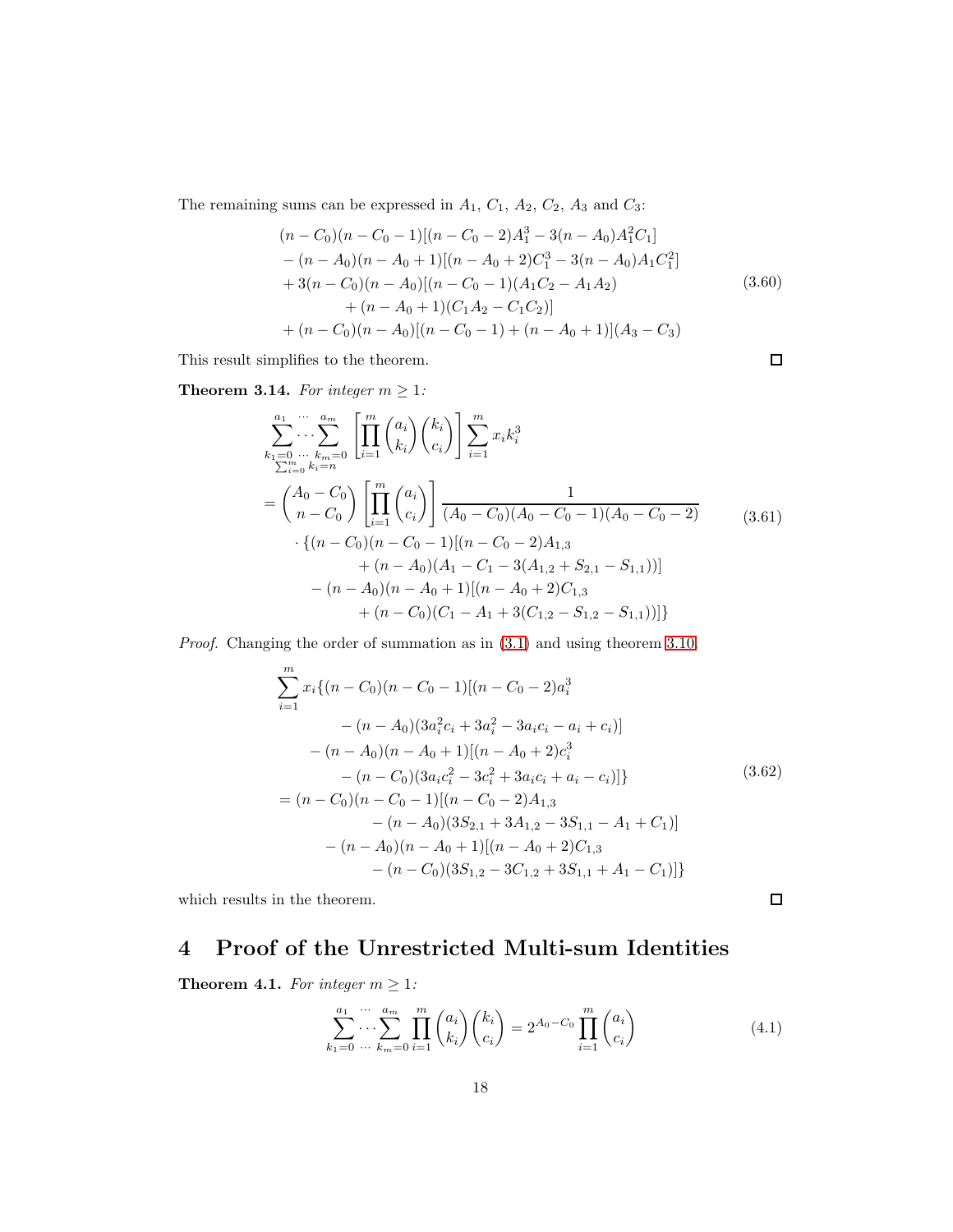The remaining sums can be expressed in  $A_1,\,C_1,\,A_2,\,C_2,\,A_3$  and  $C_3;$ 

$$
(n - C_0)(n - C_0 - 1)[(n - C_0 - 2)A_1^3 - 3(n - A_0)A_1^2C_1]
$$
  
\n
$$
- (n - A_0)(n - A_0 + 1)[(n - A_0 + 2)C_1^3 - 3(n - A_0)A_1C_1^2]
$$
  
\n
$$
+ 3(n - C_0)(n - A_0)[(n - C_0 - 1)(A_1C_2 - A_1A_2)
$$
  
\n
$$
+ (n - A_0 + 1)(C_1A_2 - C_1C_2)]
$$
  
\n
$$
+ (n - C_0)(n - A_0)[(n - C_0 - 1) + (n - A_0 + 1)](A_3 - C_3)
$$
\n(3.60)

 $\Box$ 

 $\Box$ 

This result simplifies to the theorem.

**Theorem 3.14.** For integer  $m \geq 1$ :

$$
\sum_{k_1=0}^{a_1} \cdots \sum_{k_m=0}^{a_m} \left[ \prod_{i=1}^m {a_i \choose k_i} {k_i \choose c_i} \right] \sum_{i=1}^m x_i k_i^3
$$
\n
$$
= {A_0 - C_0 \choose n - C_0} \left[ \prod_{i=1}^m {a_i \choose c_i} \right] \frac{1}{(A_0 - C_0)(A_0 - C_0 - 1)(A_0 - C_0 - 2)}
$$
\n
$$
\cdot \{(n - C_0)(n - C_0 - 1)[(n - C_0 - 2)A_{1,3} + (n - A_0)(A_1 - C_1 - 3(A_{1,2} + S_{2,1} - S_{1,1}))]
$$
\n
$$
- (n - A_0)(n - A_0 + 1)[(n - A_0 + 2)C_{1,3} + (n - C_0)(C_1 - A_1 + 3(C_{1,2} - S_{1,2} - S_{1,1}))]
$$

*Proof.* Changing the order of summation as in [\(3.1\)](#page-4-0) and using theorem [3.10.](#page-12-0)

$$
\sum_{i=1}^{m} x_i \{(n - C_0)(n - C_0 - 1)[(n - C_0 - 2)a_i^3
$$
  
\n
$$
- (n - A_0)(3a_i^2c_i + 3a_i^2 - 3a_ic_i - a_i + c_i)]
$$
  
\n
$$
- (n - A_0)(n - A_0 + 1)[(n - A_0 + 2)c_i^3
$$
  
\n
$$
- (n - C_0)(3a_ic_i^2 - 3c_i^2 + 3a_ic_i + a_i - c_i)]\}
$$
  
\n
$$
= (n - C_0)(n - C_0 - 1)[(n - C_0 - 2)A_{1,3}
$$
  
\n
$$
- (n - A_0)(3S_{2,1} + 3A_{1,2} - 3S_{1,1} - A_1 + C_1)]
$$
  
\n
$$
- (n - A_0)(n - A_0 + 1)[(n - A_0 + 2)C_{1,3}
$$
  
\n
$$
- (n - C_0)(3S_{1,2} - 3C_{1,2} + 3S_{1,1} + A_1 - C_1)]
$$

which results in the theorem.

#### 4 Proof of the Unrestricted Multi-sum Identities

**Theorem 4.1.** For integer  $m \geq 1$ :

$$
\sum_{k_1=0}^{a_1} \cdots \sum_{k_m=0}^{a_m} \prod_{i=1}^m \binom{a_i}{k_i} \binom{k_i}{c_i} = 2^{A_0 - C_0} \prod_{i=1}^m \binom{a_i}{c_i} \tag{4.1}
$$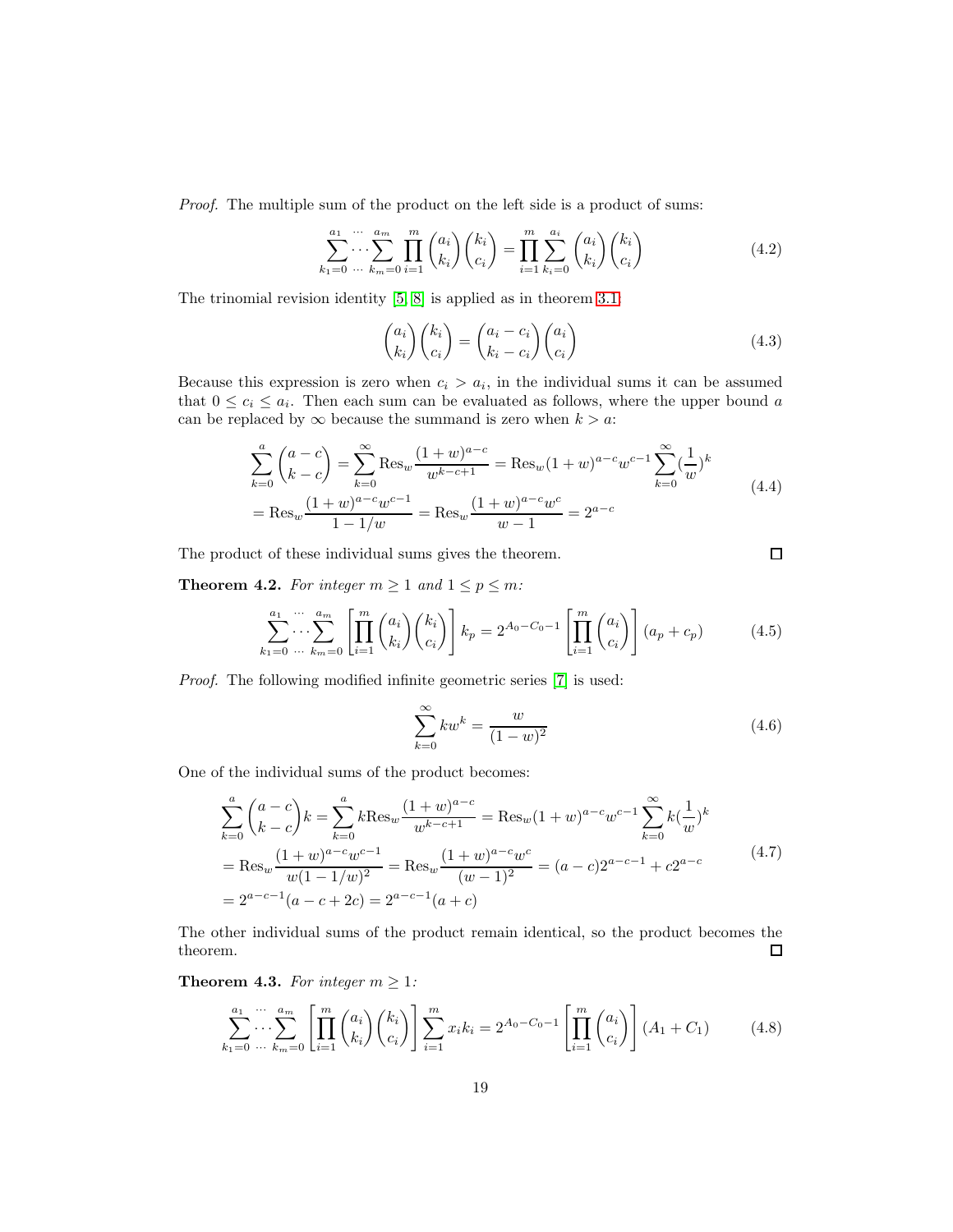*Proof.* The multiple sum of the product on the left side is a product of sums:

$$
\sum_{k_1=0}^{a_1} \cdots \sum_{k_m=0}^{a_m} \prod_{i=1}^m \binom{a_i}{k_i} \binom{k_i}{c_i} = \prod_{i=1}^m \sum_{k_i=0}^{a_i} \binom{a_i}{k_i} \binom{k_i}{c_i}
$$
(4.2)

The trinomial revision identity [\[5,](#page-23-3) [8\]](#page-23-4) is applied as in theorem [3.1:](#page-5-0)

$$
\binom{a_i}{k_i}\binom{k_i}{c_i} = \binom{a_i - c_i}{k_i - c_i}\binom{a_i}{c_i} \tag{4.3}
$$

Because this expression is zero when  $c_i > a_i$ , in the individual sums it can be assumed that  $0 \leq c_i \leq a_i$ . Then each sum can be evaluated as follows, where the upper bound a can be replaced by  $\infty$  because the summand is zero when  $k > a$ :

$$
\sum_{k=0}^{a} {a-c \choose k-c} = \sum_{k=0}^{\infty} \text{Res}_{w} \frac{(1+w)^{a-c}}{w^{k-c+1}} = \text{Res}_{w} (1+w)^{a-c} w^{c-1} \sum_{k=0}^{\infty} (\frac{1}{w})^{k}
$$
  
= Res<sub>w</sub>  $\frac{(1+w)^{a-c} w^{c-1}}{1-1/w} = \text{Res}_{w} \frac{(1+w)^{a-c} w^{c}}{w-1} = 2^{a-c}$  (4.4)

The product of these individual sums gives the theorem.

<span id="page-18-0"></span>**Theorem 4.2.** For integer  $m \geq 1$  and  $1 \leq p \leq m$ :

$$
\sum_{k_1=0}^{a_1} \cdots \sum_{k_m=0}^{a_m} \left[ \prod_{i=1}^m \binom{a_i}{k_i} \binom{k_i}{c_i} \right] k_p = 2^{A_0 - C_0 - 1} \left[ \prod_{i=1}^m \binom{a_i}{c_i} \right] (a_p + c_p) \tag{4.5}
$$

*Proof.* The following modified infinite geometric series [\[7\]](#page-23-2) is used:

$$
\sum_{k=0}^{\infty} kw^k = \frac{w}{(1-w)^2}
$$
\n(4.6)

 $\Box$ 

One of the individual sums of the product becomes:

$$
\sum_{k=0}^{a} {a-c \choose k-c} k = \sum_{k=0}^{a} k \text{Res}_{w} \frac{(1+w)^{a-c}}{w^{k-c+1}} = \text{Res}_{w} (1+w)^{a-c} w^{c-1} \sum_{k=0}^{\infty} k \left(\frac{1}{w}\right)^{k}
$$
  
= Res\_{w} \frac{(1+w)^{a-c} w^{c-1}}{w(1-1/w)^{2}} = \text{Res}\_{w} \frac{(1+w)^{a-c} w^{c}}{(w-1)^{2}} = (a-c)2^{a-c-1} + c2^{a-c} (4.7)  
= 2^{a-c-1} (a-c+2c) = 2^{a-c-1} (a+c)

The other individual sums of the product remain identical, so the product becomes the theorem.  $\Box$ 

**Theorem 4.3.** *For integer*  $m \geq 1$ *:* 

$$
\sum_{k_1=0}^{a_1} \cdots \sum_{k_m=0}^{a_m} \left[ \prod_{i=1}^m \binom{a_i}{k_i} \binom{k_i}{c_i} \right] \sum_{i=1}^m x_i k_i = 2^{A_0 - C_0 - 1} \left[ \prod_{i=1}^m \binom{a_i}{c_i} \right] (A_1 + C_1) \tag{4.8}
$$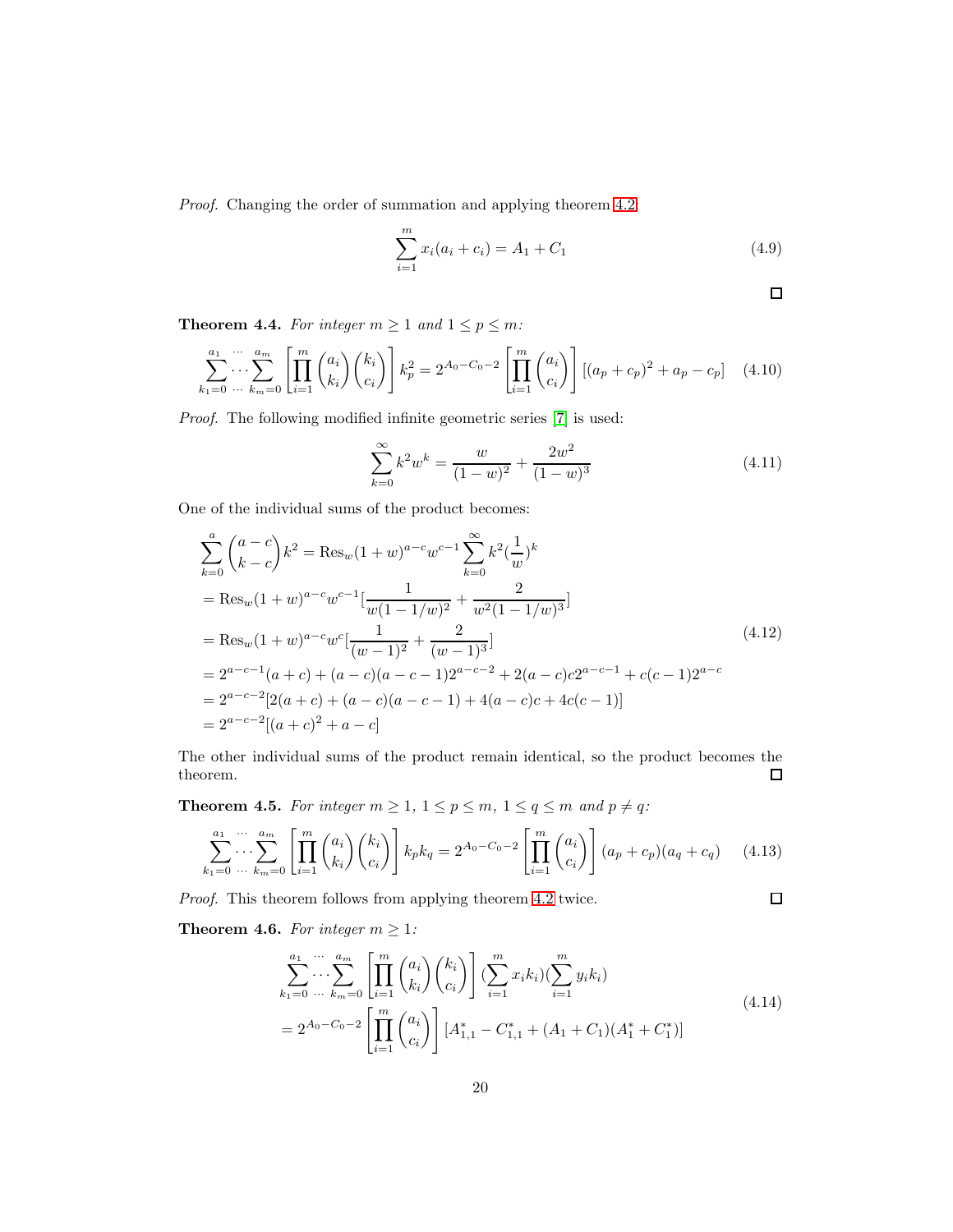*Proof.* Changing the order of summation and applying theorem [4.2:](#page-18-0)

$$
\sum_{i=1}^{m} x_i (a_i + c_i) = A_1 + C_1 \tag{4.9}
$$

$$
\Box
$$

 $\Box$ 

<span id="page-19-0"></span>**Theorem 4.4.** *For integer*  $m \geq 1$  *and*  $1 \leq p \leq m$ *:* 

$$
\sum_{k_1=0}^{a_1} \cdots \sum_{k_m=0}^{a_m} \left[ \prod_{i=1}^m \binom{a_i}{k_i} \binom{k_i}{c_i} \right] k_p^2 = 2^{A_0 - C_0 - 2} \left[ \prod_{i=1}^m \binom{a_i}{c_i} \right] \left[ (a_p + c_p)^2 + a_p - c_p \right] \tag{4.10}
$$

*Proof.* The following modified infinite geometric series [\[7\]](#page-23-2) is used:

$$
\sum_{k=0}^{\infty} k^2 w^k = \frac{w}{(1-w)^2} + \frac{2w^2}{(1-w)^3}
$$
\n(4.11)

One of the individual sums of the product becomes:

$$
\sum_{k=0}^{a} {a-c \choose k-c} k^2 = \text{Res}_{w} (1+w)^{a-c} w^{c-1} \sum_{k=0}^{\infty} k^2 \left(\frac{1}{w}\right)^k
$$
  
= Res\_{w} (1+w)^{a-c} w^{c-1} \left[ \frac{1}{w(1-1/w)^2} + \frac{2}{w^2(1-1/w)^3} \right]  
= Res\_{w} (1+w)^{a-c} w^c \left[ \frac{1}{(w-1)^2} + \frac{2}{(w-1)^3} \right]  
= 2^{a-c-1} (a+c) + (a-c)(a-c-1) 2^{a-c-2} + 2(a-c)c2^{a-c-1} + c(c-1) 2^{a-c}  
= 2^{a-c-2} [2(a+c) + (a-c)(a-c-1) + 4(a-c)c + 4c(c-1)]  
= 2^{a-c-2} [(a+c)^2 + a-c]

The other individual sums of the product remain identical, so the product becomes the theorem.  $\Box$ 

<span id="page-19-1"></span>**Theorem 4.5.** For integer  $m \geq 1$ ,  $1 \leq p \leq m$ ,  $1 \leq q \leq m$  and  $p \neq q$ :

$$
\sum_{k_1=0}^{a_1} \cdots \sum_{k_m=0}^{a_m} \left[ \prod_{i=1}^m \binom{a_i}{k_i} \binom{k_i}{c_i} \right] k_p k_q = 2^{A_0 - C_0 - 2} \left[ \prod_{i=1}^m \binom{a_i}{c_i} \right] (a_p + c_p)(a_q + c_q) \tag{4.13}
$$

*Proof.* This theorem follows from applying theorem [4.2](#page-18-0) twice.

**Theorem 4.6.** *For integer*  $m \geq 1$ *:* 

$$
\sum_{k_1=0}^{a_1} \cdots \sum_{k_m=0}^{a_m} \left[ \prod_{i=1}^m \binom{a_i}{k_i} \binom{k_i}{c_i} \right] \left( \sum_{i=1}^m x_i k_i \right) \left( \sum_{i=1}^m y_i k_i \right)
$$
\n
$$
= 2^{A_0 - C_0 - 2} \left[ \prod_{i=1}^m \binom{a_i}{c_i} \right] \left[ A_{1,1}^* - C_{1,1}^* + (A_1 + C_1)(A_1^* + C_1^*) \right]
$$
\n
$$
(4.14)
$$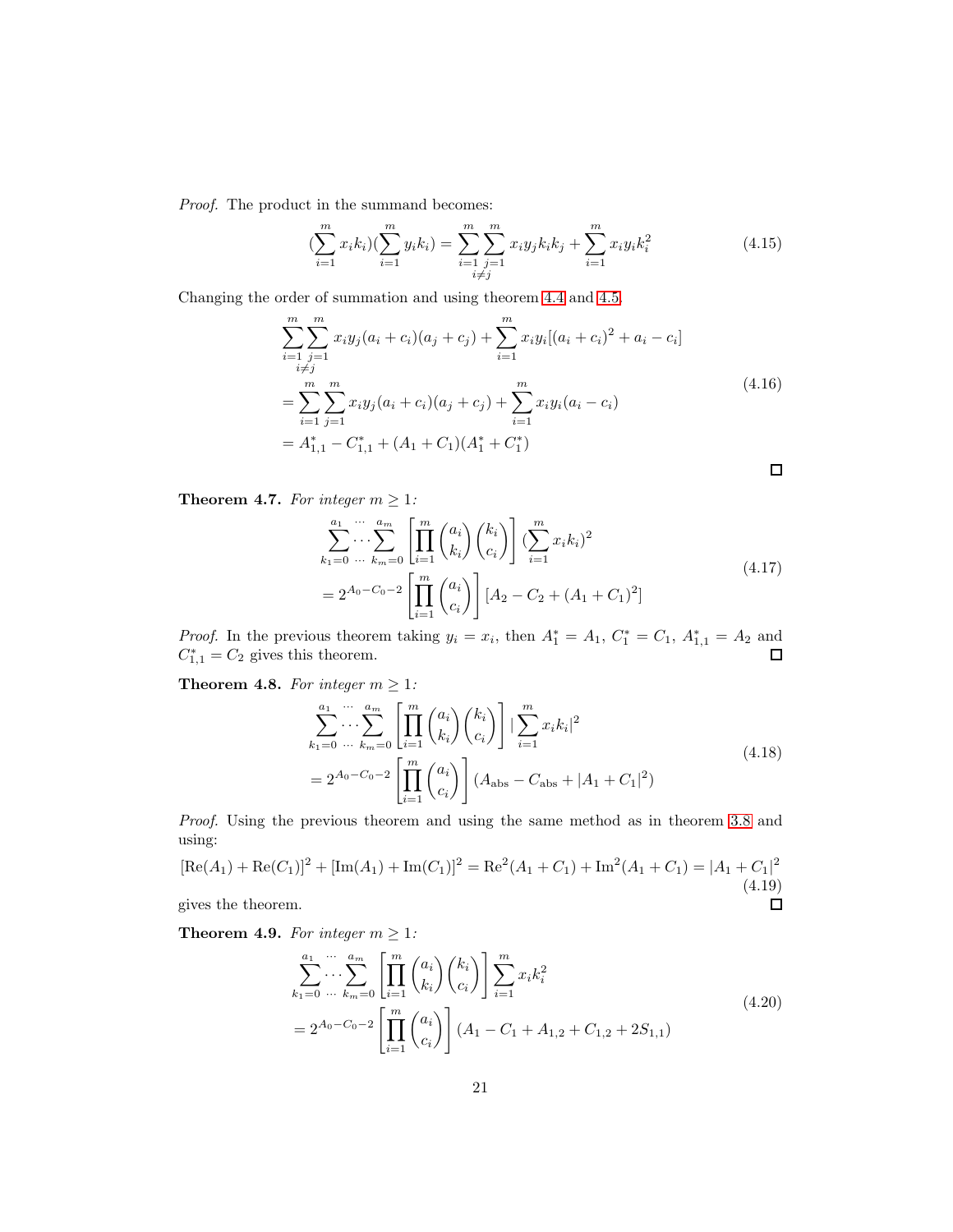*Proof.* The product in the summand becomes:

$$
\left(\sum_{i=1}^{m} x_{i} k_{i}\right) \left(\sum_{i=1}^{m} y_{i} k_{i}\right) = \sum_{\substack{i=1 \ i \neq j}}^{m} \sum_{j=1}^{m} x_{i} y_{j} k_{i} k_{j} + \sum_{i=1}^{m} x_{i} y_{i} k_{i}^{2}
$$
\n(4.15)

Changing the order of summation and using theorem [4.4](#page-19-0) and [4.5.](#page-19-1)

$$
\sum_{i=1}^{m} \sum_{\substack{j=1 \ i \neq j}}^{m} x_i y_j (a_i + c_i)(a_j + c_j) + \sum_{i=1}^{m} x_i y_i [(a_i + c_i)^2 + a_i - c_i]
$$
  
= 
$$
\sum_{i=1}^{m} \sum_{j=1}^{m} x_i y_j (a_i + c_i)(a_j + c_j) + \sum_{i=1}^{m} x_i y_i (a_i - c_i)
$$
  
= 
$$
A_{1,1}^* - C_{1,1}^* + (A_1 + C_1)(A_1^* + C_1^*)
$$

**Theorem 4.7.** *For integer*  $m \geq 1$ *:* 

$$
\sum_{k_1=0}^{a_1} \cdots \sum_{k_m=0}^{a_m} \left[ \prod_{i=1}^m \binom{a_i}{k_i} \binom{k_i}{c_i} \right] \left( \sum_{i=1}^m x_i k_i \right)^2
$$
\n
$$
= 2^{A_0 - C_0 - 2} \left[ \prod_{i=1}^m \binom{a_i}{c_i} \right] \left[ A_2 - C_2 + (A_1 + C_1)^2 \right]
$$
\n(4.17)

*Proof.* In the previous theorem taking  $y_i = x_i$ , then  $A_1^* = A_1$ ,  $C_1^* = C_1$ ,  $A_{1,1}^* = A_2$  and  $C_{1,1}^* = C_2$  gives this theorem.

**Theorem 4.8.** For integer  $m \geq 1$ :

$$
\sum_{k_1=0}^{a_1} \cdots \sum_{k_m=0}^{a_m} \left[ \prod_{i=1}^m \binom{a_i}{k_i} \binom{k_i}{c_i} \right] \left| \sum_{i=1}^m x_i k_i \right|^2
$$
\n
$$
= 2^{A_0 - C_0 - 2} \left[ \prod_{i=1}^m \binom{a_i}{c_i} \right] (A_{\text{abs}} - C_{\text{abs}} + |A_1 + C_1|^2)
$$
\n(4.18)

*Proof.* Using the previous theorem and using the same method as in theorem [3.8](#page-11-0) and using:

$$
[\text{Re}(A_1) + \text{Re}(C_1)]^2 + [\text{Im}(A_1) + \text{Im}(C_1)]^2 = \text{Re}^2(A_1 + C_1) + \text{Im}^2(A_1 + C_1) = |A_1 + C_1|^2
$$
  
(4.19)  
gives the theorem.

gives the theorem.

**Theorem 4.9.** *For integer*  $m \geq 1$ *:* 

$$
\sum_{k_1=0}^{a_1} \cdots \sum_{k_m=0}^{a_m} \left[ \prod_{i=1}^m \binom{a_i}{k_i} \binom{k_i}{c_i} \right] \sum_{i=1}^m x_i k_i^2
$$
\n
$$
= 2^{A_0 - C_0 - 2} \left[ \prod_{i=1}^m \binom{a_i}{c_i} \right] (A_1 - C_1 + A_{1,2} + C_{1,2} + 2S_{1,1})
$$
\n
$$
(4.20)
$$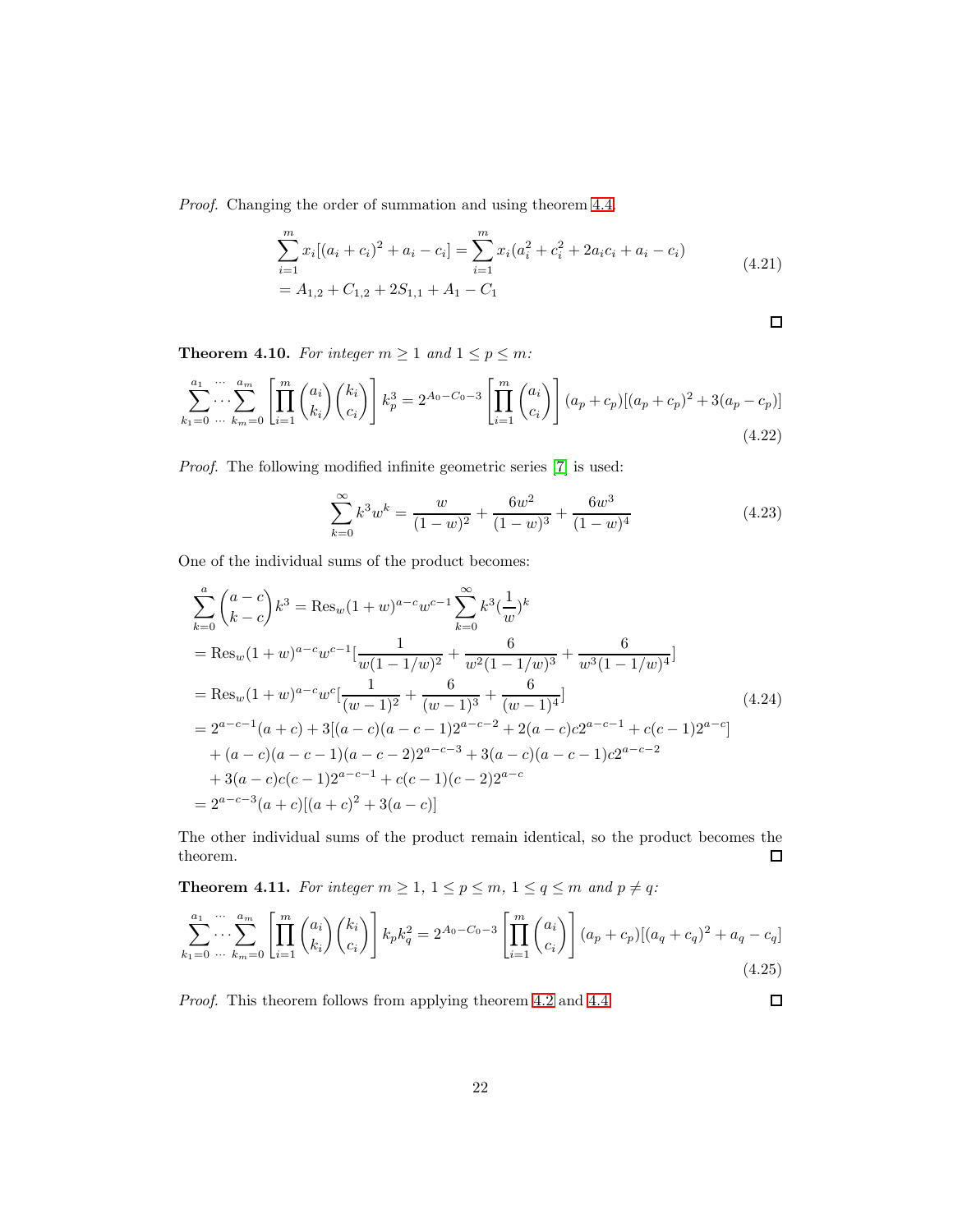*Proof.* Changing the order of summation and using theorem [4.4.](#page-19-0)

$$
\sum_{i=1}^{m} x_i [(a_i + c_i)^2 + a_i - c_i] = \sum_{i=1}^{m} x_i (a_i^2 + c_i^2 + 2a_i c_i + a_i - c_i)
$$
  
=  $A_{1,2} + C_{1,2} + 2S_{1,1} + A_1 - C_1$  (4.21)

$$
\qquad \qquad \Box
$$

 $\Box$ 

<span id="page-21-0"></span>**Theorem 4.10.** For integer  $m \ge 1$  and  $1 \le p \le m$ :

$$
\sum_{k_1=0}^{a_1} \cdots \sum_{k_m=0}^{a_m} \left[ \prod_{i=1}^m \binom{a_i}{k_i} \binom{k_i}{c_i} \right] k_p^3 = 2^{A_0 - C_0 - 3} \left[ \prod_{i=1}^m \binom{a_i}{c_i} \right] (a_p + c_p) [(a_p + c_p)^2 + 3(a_p - c_p)] \tag{4.22}
$$

*Proof.* The following modified infinite geometric series [\[7\]](#page-23-2) is used:

$$
\sum_{k=0}^{\infty} k^3 w^k = \frac{w}{(1-w)^2} + \frac{6w^2}{(1-w)^3} + \frac{6w^3}{(1-w)^4}
$$
(4.23)

One of the individual sums of the product becomes:

$$
\sum_{k=0}^{a} {a-c \choose k-c} k^3 = \text{Res}_{w} (1+w)^{a-c} w^{c-1} \sum_{k=0}^{\infty} k^3 \left(\frac{1}{w}\right)^k
$$
  
= Res\_{w} (1+w)^{a-c} w^{c-1} \left[ \frac{1}{w(1-1/w)^2} + \frac{6}{w^2(1-1/w)^3} + \frac{6}{w^3(1-1/w)^4} \right]  
= Res\_{w} (1+w)^{a-c} w^c \left[ \frac{1}{(w-1)^2} + \frac{6}{(w-1)^3} + \frac{6}{(w-1)^4} \right]  
= 2^{a-c-1} (a+c) + 3 [(a-c)(a-c-1)2^{a-c-2} + 2(a-c)c2^{a-c-1} + c(c-1)2^{a-c} ]  
+ (a-c)(a-c-1)(a-c-2)2^{a-c-3} + 3(a-c)(a-c-1)c2^{a-c-2}  
+ 3(a-c)c(c-1)2^{a-c-1} + c(c-1)(c-2)2^{a-c}  
= 2^{a-c-3} (a+c) [(a+c)^2 + 3(a-c)]

The other individual sums of the product remain identical, so the product becomes the theorem.  $\Box$ 

<span id="page-21-1"></span>**Theorem 4.11.** For integer  $m \geq 1$ ,  $1 \leq p \leq m$ ,  $1 \leq q \leq m$  and  $p \neq q$ :

$$
\sum_{k_1=0}^{a_1} \cdots \sum_{k_m=0}^{a_m} \left[ \prod_{i=1}^m \binom{a_i}{k_i} \binom{k_i}{c_i} \right] k_p k_q^2 = 2^{A_0 - C_0 - 3} \left[ \prod_{i=1}^m \binom{a_i}{c_i} \right] (a_p + c_p) [(a_q + c_q)^2 + a_q - c_q] \tag{4.25}
$$

*Proof.* This theorem follows from applying theorem [4.2](#page-18-0) and [4.4.](#page-19-0)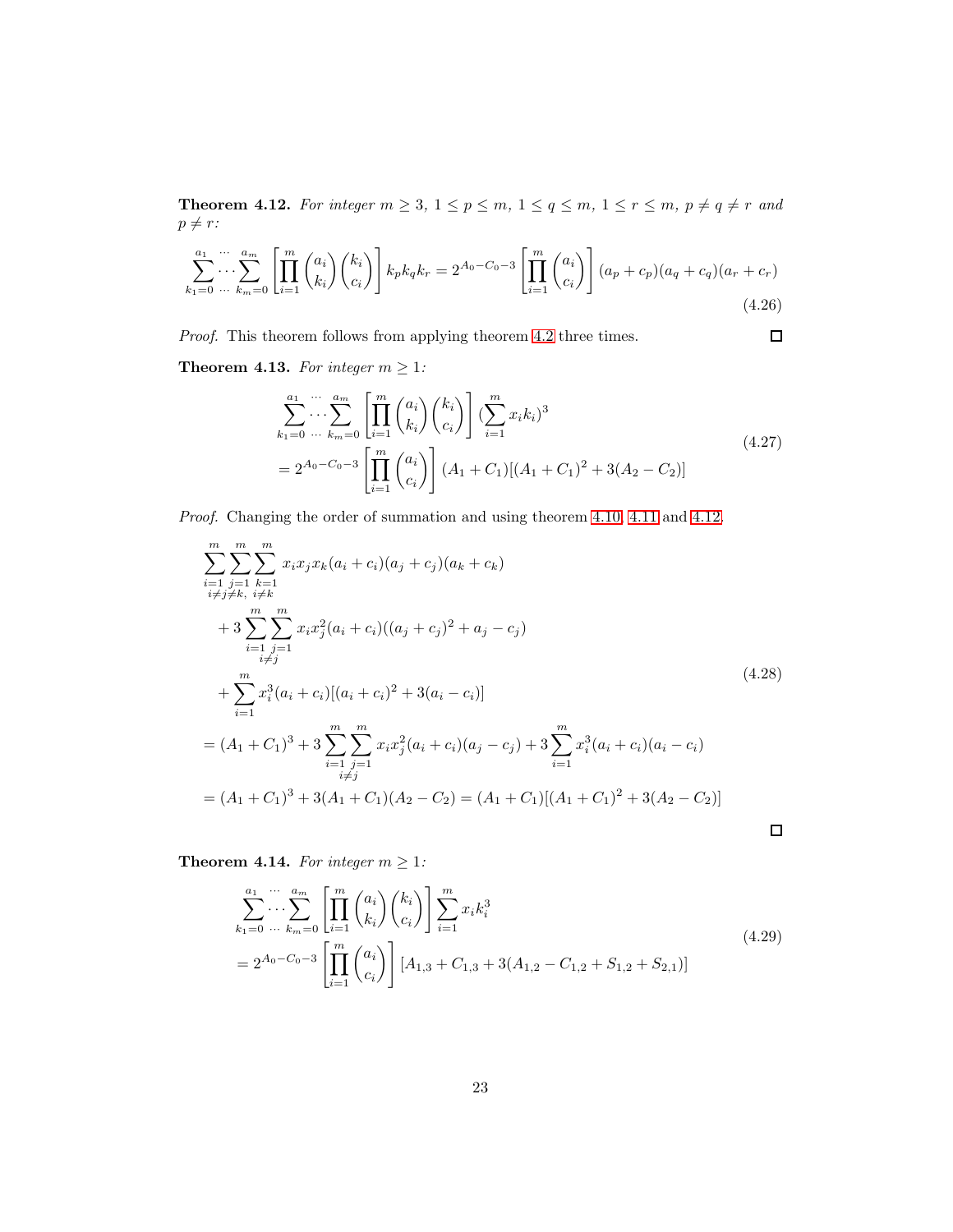<span id="page-22-0"></span>**Theorem 4.12.** For integer  $m \geq 3$ ,  $1 \leq p \leq m$ ,  $1 \leq q \leq m$ ,  $1 \leq r \leq m$ ,  $p \neq q \neq r$  and  $p \neq r$  :

$$
\sum_{k_1=0}^{a_1} \cdots \sum_{k_m=0}^{a_m} \left[ \prod_{i=1}^m \binom{a_i}{k_i} \binom{k_i}{c_i} \right] k_p k_q k_r = 2^{A_0 - C_0 - 3} \left[ \prod_{i=1}^m \binom{a_i}{c_i} \right] (a_p + c_p)(a_q + c_q)(a_r + c_r) \tag{4.26}
$$

*Proof.* This theorem follows from applying theorem [4.2](#page-18-0) three times.

**Theorem 4.13.** For integer  $m \geq 1$ :

$$
\sum_{k_1=0}^{a_1} \cdots \sum_{k_m=0}^{a_m} \left[ \prod_{i=1}^m \binom{a_i}{k_i} \binom{k_i}{c_i} \right] \left( \sum_{i=1}^m x_i k_i \right)^3
$$
\n
$$
= 2^{A_0 - C_0 - 3} \left[ \prod_{i=1}^m \binom{a_i}{c_i} \right] (A_1 + C_1) [(A_1 + C_1)^2 + 3(A_2 - C_2)]
$$
\n(4.27)

 $\Box$ 

*Proof.* Changing the order of summation and using theorem [4.10,](#page-21-0) [4.11](#page-21-1) and [4.12.](#page-22-0)

$$
\sum_{i=1}^{m} \sum_{j=1}^{m} \sum_{k=1}^{m} x_i x_j x_k (a_i + c_i)(a_j + c_j)(a_k + c_k)
$$
  
+ 
$$
3 \sum_{i=1}^{m} \sum_{j=1}^{m} x_i x_j^2 (a_i + c_i)((a_j + c_j)^2 + a_j - c_j)
$$
  
+ 
$$
\sum_{i=1}^{m} x_i^3 (a_i + c_i)[(a_i + c_i)^2 + 3(a_i - c_i)]
$$
  
+ 
$$
\sum_{i=1}^{m} x_i^3 (a_i + c_i)[(a_i + c_i)^2 + 3(a_i - c_i)]
$$
  
= 
$$
(A_1 + C_1)^3 + 3 \sum_{\substack{i=1 \ i \neq j}}^{m} x_i x_j^2 (a_i + c_i)(a_j - c_j) + 3 \sum_{i=1}^{m} x_i^3 (a_i + c_i)(a_i - c_i)
$$
  
= 
$$
(A_1 + C_1)^3 + 3(A_1 + C_1)(A_2 - C_2) = (A_1 + C_1)[(A_1 + C_1)^2 + 3(A_2 - C_2)]
$$

**Theorem 4.14.** *For integer*  $m \geq 1$ *:* 

$$
\sum_{k_1=0}^{a_1} \cdots \sum_{k_m=0}^{a_m} \left[ \prod_{i=1}^m \binom{a_i}{k_i} \binom{k_i}{c_i} \right] \sum_{i=1}^m x_i k_i^3
$$
\n
$$
= 2^{A_0 - C_0 - 3} \left[ \prod_{i=1}^m \binom{a_i}{c_i} \right] [A_{1,3} + C_{1,3} + 3(A_{1,2} - C_{1,2} + S_{1,2} + S_{2,1})]
$$
\n(4.29)